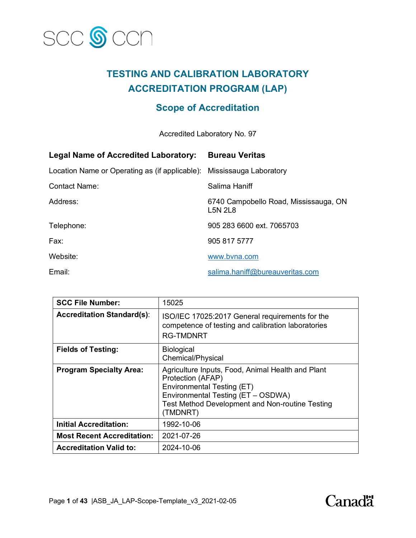

# **TESTING AND CALIBRATION LABORATORY ACCREDITATION PROGRAM (LAP)**

# **Scope of Accreditation**

Accredited Laboratory No. 97

| <b>Legal Name of Accredited Laboratory:</b>                           | <b>Bureau Veritas</b>                              |
|-----------------------------------------------------------------------|----------------------------------------------------|
| Location Name or Operating as (if applicable): Mississauga Laboratory |                                                    |
| Contact Name:                                                         | Salima Haniff                                      |
| Address:                                                              | 6740 Campobello Road, Mississauga, ON<br>$LSN$ 2L8 |
| Telephone:                                                            | 905 283 6600 ext. 7065703                          |
| Fax:                                                                  | 905 817 5777                                       |
| Website:                                                              | www.bvna.com                                       |
| Email:                                                                | salima.haniff@bureauveritas.com                    |

| <b>SCC File Number:</b>           | 15025                                                                                                                                                                                                                   |
|-----------------------------------|-------------------------------------------------------------------------------------------------------------------------------------------------------------------------------------------------------------------------|
| <b>Accreditation Standard(s):</b> | ISO/IEC 17025:2017 General requirements for the<br>competence of testing and calibration laboratories<br><b>RG-TMDNRT</b>                                                                                               |
| <b>Fields of Testing:</b>         | <b>Biological</b><br>Chemical/Physical                                                                                                                                                                                  |
| <b>Program Specialty Area:</b>    | Agriculture Inputs, Food, Animal Health and Plant<br>Protection (AFAP)<br><b>Environmental Testing (ET)</b><br>Environmental Testing (ET - OSDWA)<br><b>Test Method Development and Non-routine Testing</b><br>(TMDNRT) |
| <b>Initial Accreditation:</b>     | 1992-10-06                                                                                                                                                                                                              |
| <b>Most Recent Accreditation:</b> | 2021-07-26                                                                                                                                                                                                              |
| <b>Accreditation Valid to:</b>    | 2024-10-06                                                                                                                                                                                                              |

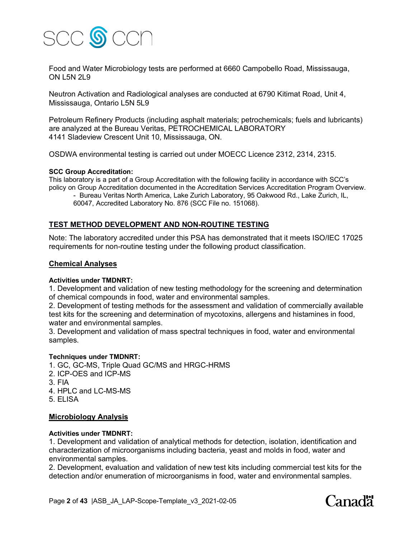

Food and Water Microbiology tests are performed at 6660 Campobello Road, Mississauga, ON L5N 2L9

Neutron Activation and Radiological analyses are conducted at 6790 Kitimat Road, Unit 4, Mississauga, Ontario L5N 5L9

Petroleum Refinery Products (including asphalt materials; petrochemicals; fuels and lubricants) are analyzed at the Bureau Veritas, PETROCHEMICAL LABORATORY 4141 Sladeview Crescent Unit 10, Mississauga, ON.

OSDWA environmental testing is carried out under MOECC Licence 2312, 2314, 2315.

## **SCC Group Accreditation:**

This laboratory is a part of a Group Accreditation with the following facility in accordance with SCC's policy on Group Accreditation documented in the Accreditation Services Accreditation Program Overview.

- Bureau Veritas North America, Lake Zurich Laboratory, 95 Oakwood Rd., Lake Zurich, IL, 60047, Accredited Laboratory No. 876 (SCC File no. 151068).

## **TEST METHOD DEVELOPMENT AND NON-ROUTINE TESTING**

Note: The laboratory accredited under this PSA has demonstrated that it meets ISO/IEC 17025 requirements for non-routine testing under the following product classification.

## **Chemical Analyses**

## **Activities under TMDNRT:**

1. Development and validation of new testing methodology for the screening and determination of chemical compounds in food, water and environmental samples.

2. Development of testing methods for the assessment and validation of commercially available test kits for the screening and determination of mycotoxins, allergens and histamines in food, water and environmental samples.

3. Development and validation of mass spectral techniques in food, water and environmental samples.

#### **Techniques under TMDNRT:**

1. GC, GC-MS, Triple Quad GC/MS and HRGC-HRMS

- 2. ICP-OES and ICP-MS
- 3. FIA
- 4. HPLC and LC-MS-MS
- 5. ELISA

## **Microbiology Analysis**

## **Activities under TMDNRT:**

1. Development and validation of analytical methods for detection, isolation, identification and characterization of microorganisms including bacteria, yeast and molds in food, water and environmental samples.

2. Development, evaluation and validation of new test kits including commercial test kits for the detection and/or enumeration of microorganisms in food, water and environmental samples.

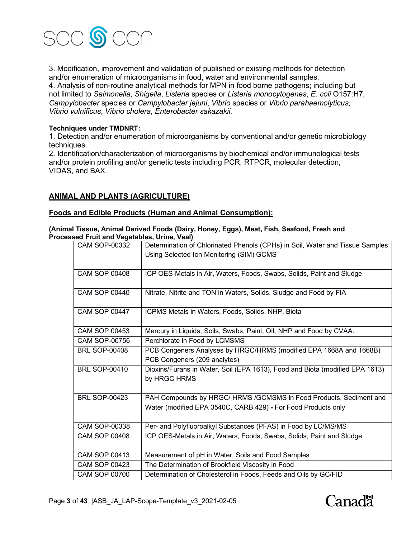

3. Modification, improvement and validation of published or existing methods for detection and/or enumeration of microorganisms in food, water and environmental samples. 4. Analysis of non-routine analytical methods for MPN in food borne pathogens; including but not limited to *Salmonella*, *Shigella*, *Listeria* species or *Listeria monocytogenes*, *E. coli* O157:H7, *Campylobacter* species or *Campylobacter jejuni*, *Vibrio* species or *Vibrio parahaemolyticus*, *Vibrio vulnificus*, *Vibrio cholera*, *Enterobacter sakazakii.*

## **Techniques under TMDNRT:**

1. Detection and/or enumeration of microorganisms by conventional and/or genetic microbiology techniques.

2. Identification/characterization of microorganisms by biochemical and/or immunological tests and/or protein profiling and/or genetic tests including PCR, RTPCR, molecular detection, VIDAS, and BAX.

## **ANIMAL AND PLANTS (AGRICULTURE)**

## **Foods and Edible Products (Human and Animal Consumption):**

#### **(Animal Tissue, Animal Derived Foods (Dairy, Honey, Eggs), Meat, Fish, Seafood, Fresh and Processed Fruit and Vegetables, Urine, Veal)**

| <b>CAM SOP-00332</b> | Determination of Chlorinated Phenols (CPHs) in Soil, Water and Tissue Samples |  |
|----------------------|-------------------------------------------------------------------------------|--|
|                      | Using Selected Ion Monitoring (SIM) GCMS                                      |  |
|                      |                                                                               |  |
| <b>CAM SOP 00408</b> | ICP OES-Metals in Air, Waters, Foods, Swabs, Solids, Paint and Sludge         |  |
| <b>CAM SOP 00440</b> |                                                                               |  |
|                      | Nitrate, Nitrite and TON in Waters, Solids, Sludge and Food by FIA            |  |
| <b>CAM SOP 00447</b> | ICPMS Metals in Waters, Foods, Solids, NHP, Biota                             |  |
|                      |                                                                               |  |
| <b>CAM SOP 00453</b> | Mercury in Liquids, Soils, Swabs, Paint, Oil, NHP and Food by CVAA.           |  |
| <b>CAM SOP-00756</b> | Perchlorate in Food by LCMSMS                                                 |  |
| <b>BRL SOP-00408</b> | PCB Congeners Analyses by HRGC/HRMS (modified EPA 1668A and 1668B)            |  |
|                      | PCB Congeners (209 analytes)                                                  |  |
| <b>BRL SOP-00410</b> | Dioxins/Furans in Water, Soil (EPA 1613), Food and Biota (modified EPA 1613)  |  |
|                      | by HRGC HRMS                                                                  |  |
|                      |                                                                               |  |
| <b>BRL SOP-00423</b> | PAH Compounds by HRGC/ HRMS /GCMSMS in Food Products, Sediment and            |  |
|                      | Water (modified EPA 3540C, CARB 429) - For Food Products only                 |  |
|                      |                                                                               |  |
| <b>CAM SOP-00338</b> | Per- and Polyfluoroalkyl Substances (PFAS) in Food by LC/MS/MS                |  |
| <b>CAM SOP 00408</b> | ICP OES-Metals in Air, Waters, Foods, Swabs, Solids, Paint and Sludge         |  |
|                      |                                                                               |  |
| <b>CAM SOP 00413</b> | Measurement of pH in Water, Soils and Food Samples                            |  |
| <b>CAM SOP 00423</b> | The Determination of Brookfield Viscosity in Food                             |  |
| <b>CAM SOP 00700</b> | Determination of Cholesterol in Foods, Feeds and Oils by GC/FID               |  |

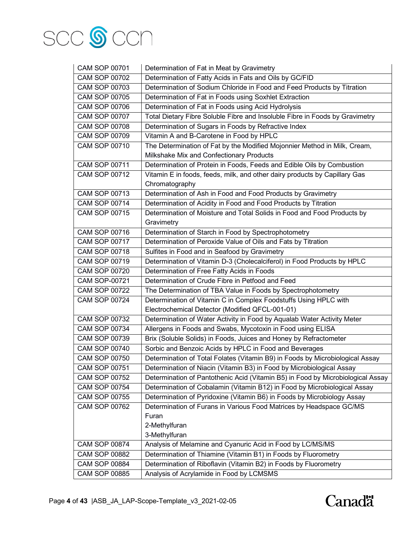

| <b>CAM SOP 00701</b> | Determination of Fat in Meat by Gravimetry                                      |  |
|----------------------|---------------------------------------------------------------------------------|--|
| <b>CAM SOP 00702</b> | Determination of Fatty Acids in Fats and Oils by GC/FID                         |  |
| <b>CAM SOP 00703</b> | Determination of Sodium Chloride in Food and Feed Products by Titration         |  |
| <b>CAM SOP 00705</b> | Determination of Fat in Foods using Soxhlet Extraction                          |  |
| <b>CAM SOP 00706</b> | Determination of Fat in Foods using Acid Hydrolysis                             |  |
| <b>CAM SOP 00707</b> | Total Dietary Fibre Soluble Fibre and Insoluble Fibre in Foods by Gravimetry    |  |
| <b>CAM SOP 00708</b> | Determination of Sugars in Foods by Refractive Index                            |  |
| <b>CAM SOP 00709</b> | Vitamin A and B-Carotene in Food by HPLC                                        |  |
| <b>CAM SOP 00710</b> | The Determination of Fat by the Modified Mojonnier Method in Milk, Cream,       |  |
|                      | Milkshake Mix and Confectionary Products                                        |  |
| <b>CAM SOP 00711</b> | Determination of Protein in Foods, Feeds and Edible Oils by Combustion          |  |
| <b>CAM SOP 00712</b> | Vitamin E in foods, feeds, milk, and other dairy products by Capillary Gas      |  |
|                      | Chromatography                                                                  |  |
| CAM SOP 00713        | Determination of Ash in Food and Food Products by Gravimetry                    |  |
| <b>CAM SOP 00714</b> | Determination of Acidity in Food and Food Products by Titration                 |  |
| <b>CAM SOP 00715</b> | Determination of Moisture and Total Solids in Food and Food Products by         |  |
|                      | Gravimetry                                                                      |  |
| <b>CAM SOP 00716</b> | Determination of Starch in Food by Spectrophotometry                            |  |
| <b>CAM SOP 00717</b> | Determination of Peroxide Value of Oils and Fats by Titration                   |  |
| <b>CAM SOP 00718</b> | Sulfites in Food and in Seafood by Gravimetry                                   |  |
| <b>CAM SOP 00719</b> | Determination of Vitamin D-3 (Cholecalciferol) in Food Products by HPLC         |  |
| <b>CAM SOP 00720</b> | Determination of Free Fatty Acids in Foods                                      |  |
| <b>CAM SOP-00721</b> | Determination of Crude Fibre in Petfood and Feed                                |  |
| <b>CAM SOP 00722</b> | The Determination of TBA Value in Foods by Spectrophotometry                    |  |
| <b>CAM SOP 00724</b> | Determination of Vitamin C in Complex Foodstuffs Using HPLC with                |  |
|                      | Electrochemical Detector (Modified QFCL-001-01)                                 |  |
| <b>CAM SOP 00732</b> | Determination of Water Activity in Food by Aqualab Water Activity Meter         |  |
| <b>CAM SOP 00734</b> | Allergens in Foods and Swabs, Mycotoxin in Food using ELISA                     |  |
| CAM SOP 00739        | Brix (Soluble Solids) in Foods, Juices and Honey by Refractometer               |  |
| <b>CAM SOP 00740</b> | Sorbic and Benzoic Acids by HPLC in Food and Beverages                          |  |
| <b>CAM SOP 00750</b> | Determination of Total Folates (Vitamin B9) in Foods by Microbiological Assay   |  |
| <b>CAM SOP 00751</b> | Determination of Niacin (Vitamin B3) in Food by Microbiological Assay           |  |
| <b>CAM SOP 00752</b> | Determination of Pantothenic Acid (Vitamin B5) in Food by Microbiological Assay |  |
| <b>CAM SOP 00754</b> | Determination of Cobalamin (Vitamin B12) in Food by Microbiological Assay       |  |
| <b>CAM SOP 00755</b> | Determination of Pyridoxine (Vitamin B6) in Foods by Microbiology Assay         |  |
| <b>CAM SOP 00762</b> | Determination of Furans in Various Food Matrices by Headspace GC/MS             |  |
|                      | Furan                                                                           |  |
| 2-Methylfuran        |                                                                                 |  |
|                      | 3-Methylfuran                                                                   |  |
| <b>CAM SOP 00874</b> | Analysis of Melamine and Cyanuric Acid in Food by LC/MS/MS                      |  |
| <b>CAM SOP 00882</b> | Determination of Thiamine (Vitamin B1) in Foods by Fluorometry                  |  |
| <b>CAM SOP 00884</b> | Determination of Riboflavin (Vitamin B2) in Foods by Fluorometry                |  |
| <b>CAM SOP 00885</b> | Analysis of Acrylamide in Food by LCMSMS                                        |  |

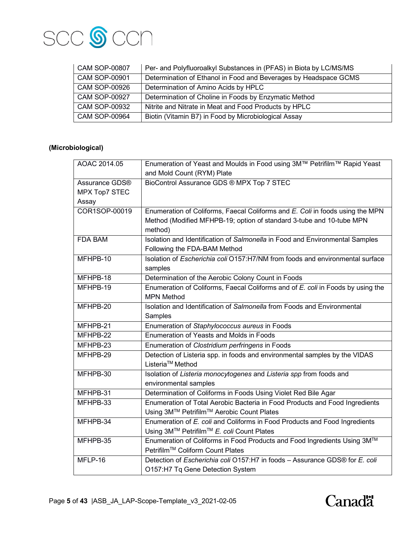

| <b>CAM SOP-00807</b> | Per- and Polyfluoroalkyl Substances in (PFAS) in Biota by LC/MS/MS |
|----------------------|--------------------------------------------------------------------|
| <b>CAM SOP-00901</b> | Determination of Ethanol in Food and Beverages by Headspace GCMS   |
| <b>CAM SOP-00926</b> | Determination of Amino Acids by HPLC                               |
| <b>CAM SOP-00927</b> | Determination of Choline in Foods by Enzymatic Method              |
| <b>CAM SOP-00932</b> | Nitrite and Nitrate in Meat and Food Products by HPLC              |
| <b>CAM SOP-00964</b> | Biotin (Vitamin B7) in Food by Microbiological Assay               |

# **(Microbiological)**

| AOAC 2014.05         | Enumeration of Yeast and Moulds in Food using 3M™ Petrifilm™ Rapid Yeast        |  |  |
|----------------------|---------------------------------------------------------------------------------|--|--|
|                      | and Mold Count (RYM) Plate                                                      |  |  |
| Assurance GDS®       | BioControl Assurance GDS ® MPX Top 7 STEC                                       |  |  |
| <b>MPX Top7 STEC</b> |                                                                                 |  |  |
| Assay                |                                                                                 |  |  |
| COR1SOP-00019        | Enumeration of Coliforms, Faecal Coliforms and E. Coli in foods using the MPN   |  |  |
|                      | Method (Modified MFHPB-19; option of standard 3-tube and 10-tube MPN            |  |  |
|                      | method)                                                                         |  |  |
| FDA BAM              | Isolation and Identification of Salmonella in Food and Environmental Samples    |  |  |
|                      | Following the FDA-BAM Method                                                    |  |  |
| MFHPB-10             | Isolation of Escherichia coli O157:H7/NM from foods and environmental surface   |  |  |
|                      | samples                                                                         |  |  |
| MFHPB-18             | Determination of the Aerobic Colony Count in Foods                              |  |  |
| MFHPB-19             | Enumeration of Coliforms, Faecal Coliforms and of E. coli in Foods by using the |  |  |
|                      | <b>MPN Method</b>                                                               |  |  |
| MFHPB-20             | Isolation and Identification of Salmonella from Foods and Environmental         |  |  |
|                      | Samples                                                                         |  |  |
| MFHPB-21             | Enumeration of Staphylococcus aureus in Foods                                   |  |  |
| MFHPB-22             | Enumeration of Yeasts and Molds in Foods                                        |  |  |
| MFHPB-23             | Enumeration of Clostridium perfringens in Foods                                 |  |  |
| MFHPB-29             | Detection of Listeria spp. in foods and environmental samples by the VIDAS      |  |  |
|                      | Listeria <sup>™</sup> Method                                                    |  |  |
| MFHPB-30             | Isolation of Listeria monocytogenes and Listeria spp from foods and             |  |  |
|                      | environmental samples                                                           |  |  |
| MFHPB-31             | Determination of Coliforms in Foods Using Violet Red Bile Agar                  |  |  |
| MFHPB-33             | Enumeration of Total Aerobic Bacteria in Food Products and Food Ingredients     |  |  |
|                      | Using 3M™ Petrifilm™ Aerobic Count Plates                                       |  |  |
| MFHPB-34             | Enumeration of E. coli and Coliforms in Food Products and Food Ingredients      |  |  |
|                      | Using 3M™ Petrifilm™ E. coli Count Plates                                       |  |  |
| MFHPB-35             | Enumeration of Coliforms in Food Products and Food Ingredients Using 3M™        |  |  |
|                      | Petrifilm™ Coliform Count Plates                                                |  |  |
| MFLP-16              | Detection of Escherichia coli O157:H7 in foods - Assurance GDS® for E. coli     |  |  |
|                      | O157:H7 Tq Gene Detection System                                                |  |  |

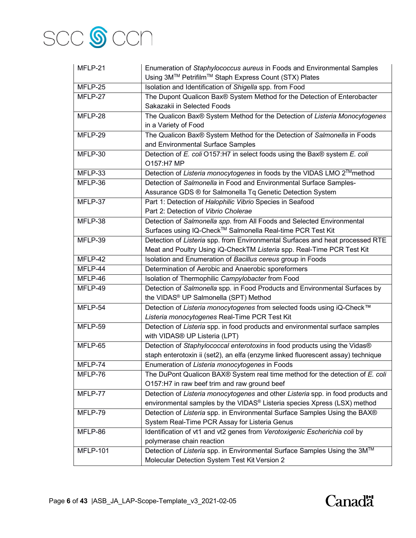

| MFLP-21         | Enumeration of Staphylococcus aureus in Foods and Environmental Samples          |  |  |
|-----------------|----------------------------------------------------------------------------------|--|--|
|                 | Using 3M™ Petrifilm™ Staph Express Count (STX) Plates                            |  |  |
| MFLP-25         | Isolation and Identification of Shigella spp. from Food                          |  |  |
| MFLP-27         | The Dupont Qualicon Bax® System Method for the Detection of Enterobacter         |  |  |
|                 | Sakazakii in Selected Foods                                                      |  |  |
| MFLP-28         | The Qualicon Bax® System Method for the Detection of Listeria Monocytogenes      |  |  |
|                 | in a Variety of Food                                                             |  |  |
| MFLP-29         | The Qualicon Bax® System Method for the Detection of Salmonella in Foods         |  |  |
|                 | and Environmental Surface Samples                                                |  |  |
| MFLP-30         | Detection of E. coli O157:H7 in select foods using the Bax® system E. coli       |  |  |
|                 | O157:H7 MP                                                                       |  |  |
| MFLP-33         | Detection of Listeria monocytogenes in foods by the VIDAS LMO 2™method           |  |  |
| MFLP-36         | Detection of Salmonella in Food and Environmental Surface Samples-               |  |  |
|                 | Assurance GDS ® for Salmonella Tq Genetic Detection System                       |  |  |
| MFLP-37         | Part 1: Detection of Halophilic Vibrio Species in Seafood                        |  |  |
|                 | Part 2: Detection of Vibrio Cholerae                                             |  |  |
| MFLP-38         | Detection of Salmonella spp. from All Foods and Selected Environmental           |  |  |
|                 | Surfaces using IQ-Check™ Salmonella Real-time PCR Test Kit                       |  |  |
| MFLP-39         | Detection of Listeria spp. from Environmental Surfaces and heat processed RTE    |  |  |
|                 | Meat and Poultry Using iQ-CheckTM Listeria spp. Real-Time PCR Test Kit           |  |  |
| MFLP-42         | Isolation and Enumeration of Bacillus cereus group in Foods                      |  |  |
| MFLP-44         | Determination of Aerobic and Anaerobic sporeformers                              |  |  |
| MFLP-46         | Isolation of Thermophilic Campylobacter from Food                                |  |  |
| MFLP-49         | Detection of Salmonella spp. in Food Products and Environmental Surfaces by      |  |  |
|                 | the VIDAS <sup>®</sup> UP Salmonella (SPT) Method                                |  |  |
| MFLP-54         | Detection of Listeria monocytogenes from selected foods using iQ-Check™          |  |  |
|                 | Listeria monocytogenes Real-Time PCR Test Kit                                    |  |  |
| MFLP-59         | Detection of Listeria spp. in food products and environmental surface samples    |  |  |
|                 | with VIDAS® UP Listeria (LPT)                                                    |  |  |
| MFLP-65         | Detection of Staphylococcal enterotoxins in food products using the Vidas®       |  |  |
|                 | staph enterotoxin ii (set2), an elfa (enzyme linked fluorescent assay) technique |  |  |
| MFLP-74         | Enumeration of Listeria monocytogenes in Foods                                   |  |  |
| MFLP-76         | The DuPont Qualicon BAX® System real time method for the detection of E. coli    |  |  |
|                 | O157:H7 in raw beef trim and raw ground beef                                     |  |  |
| MFLP-77         | Detection of Listeria monocytogenes and other Listeria spp. in food products and |  |  |
|                 | environmental samples by the VIDAS® Listeria species Xpress (LSX) method         |  |  |
| MFLP-79         | Detection of Listeria spp. in Environmental Surface Samples Using the BAX®       |  |  |
|                 | System Real-Time PCR Assay for Listeria Genus                                    |  |  |
| MFLP-86         | Identification of vt1 and vt2 genes from Verotoxigenic Escherichia coli by       |  |  |
|                 | polymerase chain reaction                                                        |  |  |
| <b>MFLP-101</b> | Detection of Listeria spp. in Environmental Surface Samples Using the 3M™        |  |  |
|                 | Molecular Detection System Test Kit Version 2                                    |  |  |

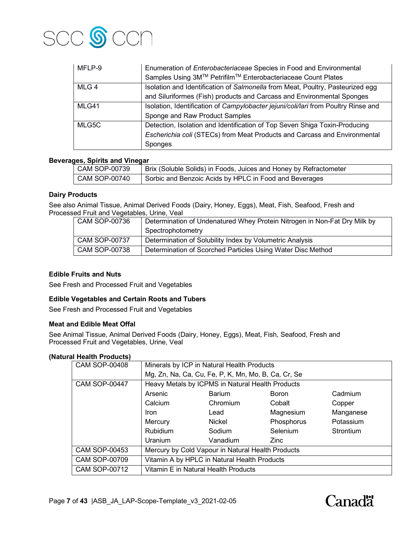

| MFLP-9 | Enumeration of Enterobacteriaceae Species in Food and Environmental                |
|--------|------------------------------------------------------------------------------------|
|        | Samples Using 3M™ Petrifilm™ Enterobacteriaceae Count Plates                       |
| MLG 4  | Isolation and Identification of Salmonella from Meat, Poultry, Pasteurized egg     |
|        | and Siluriformes (Fish) products and Carcass and Environmental Sponges             |
| MLG41  | Isolation, Identification of Campylobacter jejuni/coli/lari from Poultry Rinse and |
|        | Sponge and Raw Product Samples                                                     |
| MLG5C  | Detection, Isolation and Identification of Top Seven Shiga Toxin-Producing         |
|        | Escherichia coli (STECs) from Meat Products and Carcass and Environmental          |
|        | Sponges                                                                            |

#### **Beverages, Spirits and Vinegar**

| CAM SOP-00739   | Brix (Soluble Solids) in Foods, Juices and Honey by Refractometer |
|-----------------|-------------------------------------------------------------------|
| I CAM SOP-00740 | Sorbic and Benzoic Acids by HPLC in Food and Beverages            |

#### **Dairy Products**

See also Animal Tissue, Animal Derived Foods (Dairy, Honey, Eggs), Meat, Fish, Seafood, Fresh and Processed Fruit and Vegetables, Urine, Veal

| CAM SOP-00736        | Determination of Undenatured Whey Protein Nitrogen in Non-Fat Dry Milk by |  |
|----------------------|---------------------------------------------------------------------------|--|
|                      | Spectrophotometry                                                         |  |
| <b>CAM SOP-00737</b> | Determination of Solubility Index by Volumetric Analysis                  |  |
| <b>CAM SOP-00738</b> | Determination of Scorched Particles Using Water Disc Method               |  |

## **Edible Fruits and Nuts**

See Fresh and Processed Fruit and Vegetables

#### **Edible Vegetables and Certain Roots and Tubers**

See Fresh and Processed Fruit and Vegetables

#### **Meat and Edible Meat Offal**

See Animal Tissue, Animal Derived Foods (Dairy, Honey, Eggs), Meat, Fish, Seafood, Fresh and Processed Fruit and Vegetables, Urine, Veal

#### **(Natural Health Products)**

| <b>CAM SOP-00408</b> | Minerals by ICP in Natural Health Products          |               |                 |           |
|----------------------|-----------------------------------------------------|---------------|-----------------|-----------|
|                      | Mg, Zn, Na, Ca, Cu, Fe, P, K, Mn, Mo, B, Ca, Cr, Se |               |                 |           |
| <b>CAM SOP-00447</b> | Heavy Metals by ICPMS in Natural Health Products    |               |                 |           |
|                      | Arsenic                                             | <b>Barium</b> | <b>Boron</b>    | Cadmium   |
|                      | Calcium                                             | Chromium      | Cobalt          | Copper    |
|                      | <b>Iron</b>                                         | Lead          | Magnesium       | Manganese |
|                      | Mercury                                             | <b>Nickel</b> | Phosphorus      | Potassium |
|                      | <b>Rubidium</b>                                     | Sodium        | <b>Selenium</b> | Strontium |
|                      | <b>Uranium</b>                                      | Vanadium      | Zinc            |           |
| <b>CAM SOP-00453</b> | Mercury by Cold Vapour in Natural Health Products   |               |                 |           |
| <b>CAM SOP-00709</b> | Vitamin A by HPLC in Natural Health Products        |               |                 |           |
| <b>CAM SOP-00712</b> | Vitamin E in Natural Health Products                |               |                 |           |

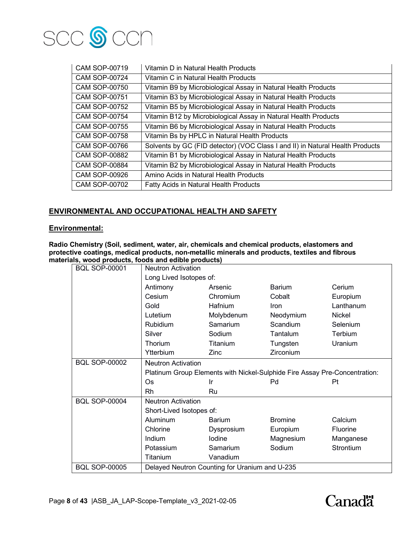

| CAM SOP-00719        | Vitamin D in Natural Health Products                                          |
|----------------------|-------------------------------------------------------------------------------|
| CAM SOP-00724        | Vitamin C in Natural Health Products                                          |
| CAM SOP-00750        | Vitamin B9 by Microbiological Assay in Natural Health Products                |
| CAM SOP-00751        | Vitamin B3 by Microbiological Assay in Natural Health Products                |
| CAM SOP-00752        | Vitamin B5 by Microbiological Assay in Natural Health Products                |
| <b>CAM SOP-00754</b> | Vitamin B12 by Microbiological Assay in Natural Health Products               |
| CAM SOP-00755        | Vitamin B6 by Microbiological Assay in Natural Health Products                |
| CAM SOP-00758        | Vitamin Bs by HPLC in Natural Health Products                                 |
| CAM SOP-00766        | Solvents by GC (FID detector) (VOC Class I and II) in Natural Health Products |
| CAM SOP-00882        | Vitamin B1 by Microbiological Assay in Natural Health Products                |
| CAM SOP-00884        | Vitamin B2 by Microbiological Assay in Natural Health Products                |
| <b>CAM SOP-00926</b> | Amino Acids in Natural Health Products                                        |
| CAM SOP-00702        | <b>Fatty Acids in Natural Health Products</b>                                 |

## **ENVIRONMENTAL AND OCCUPATIONAL HEALTH AND SAFETY**

## **Environmental:**

**Radio Chemistry (Soil, sediment, water, air, chemicals and chemical products, elastomers and protective coatings, medical products, non-metallic minerals and products, textiles and fibrous materials, wood products, foods and edible products)**

| <b>BQL SOP-00001</b> | <b>Neutron Activation</b> |                                                |                                                                            |                 |  |  |
|----------------------|---------------------------|------------------------------------------------|----------------------------------------------------------------------------|-----------------|--|--|
|                      |                           | Long Lived Isotopes of:                        |                                                                            |                 |  |  |
|                      | Antimony                  | Arsenic                                        | <b>Barium</b>                                                              | Cerium          |  |  |
|                      | Cesium                    | Chromium                                       | Cobalt                                                                     | Europium        |  |  |
|                      | Gold                      | Hafnium                                        | Iron                                                                       | Lanthanum       |  |  |
|                      | Lutetium                  | Molybdenum                                     | Neodymium                                                                  | Nickel          |  |  |
|                      | Rubidium                  | Samarium                                       | Scandium                                                                   | Selenium        |  |  |
|                      | Silver                    | Sodium                                         | Tantalum                                                                   | Terbium         |  |  |
|                      | Thorium                   | Titanium                                       | Tungsten                                                                   | Uranium         |  |  |
|                      | Ytterbium                 | Zinc                                           | Zirconium                                                                  |                 |  |  |
| <b>BQL SOP-00002</b> | <b>Neutron Activation</b> |                                                |                                                                            |                 |  |  |
|                      |                           |                                                | Platinum Group Elements with Nickel-Sulphide Fire Assay Pre-Concentration: |                 |  |  |
|                      | <b>Os</b>                 | Ir                                             | Pd                                                                         | Pt              |  |  |
|                      | Rh                        | Ru                                             |                                                                            |                 |  |  |
| <b>BQL SOP-00004</b> | <b>Neutron Activation</b> |                                                |                                                                            |                 |  |  |
|                      | Short-Lived Isotopes of:  |                                                |                                                                            |                 |  |  |
|                      | <b>Aluminum</b>           | <b>Barium</b>                                  | <b>Bromine</b>                                                             | Calcium         |  |  |
|                      | Chlorine                  | Dysprosium                                     | Europium                                                                   | <b>Fluorine</b> |  |  |
|                      | Indium                    | lodine                                         | Magnesium                                                                  | Manganese       |  |  |
|                      | Potassium                 | Samarium                                       | Sodium                                                                     | Strontium       |  |  |
|                      | Titanium                  | Vanadium                                       |                                                                            |                 |  |  |
| <b>BQL SOP-00005</b> |                           | Delayed Neutron Counting for Uranium and U-235 |                                                                            |                 |  |  |

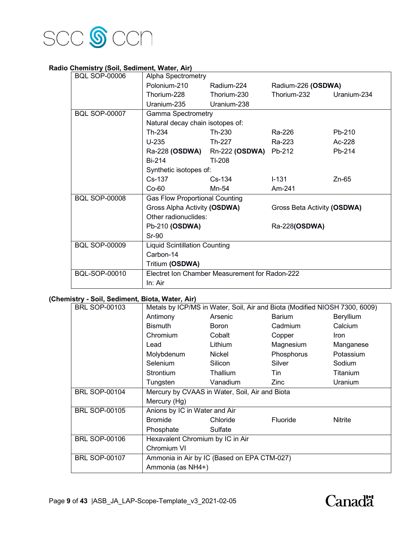

## **Radio Chemistry (Soil, Sediment, Water, Air)**

| <b>BQL SOP-00006</b> | Alpha Spectrometry                    |                                                |                             |             |
|----------------------|---------------------------------------|------------------------------------------------|-----------------------------|-------------|
|                      | Polonium-210                          | Radium-224                                     | Radium-226 (OSDWA)          |             |
|                      | Thorium-228                           | Thorium-230                                    | Thorium-232                 | Uranium-234 |
|                      | Uranium-235                           | Uranium-238                                    |                             |             |
| <b>BQL SOP-00007</b> | <b>Gamma Spectrometry</b>             |                                                |                             |             |
|                      | Natural decay chain isotopes of:      |                                                |                             |             |
|                      | Th-234                                | Th-230                                         | Ra-226                      | Pb-210      |
|                      | $U-235$                               | Th-227                                         | Ra-223                      | Ac-228      |
|                      | Ra-228 <b>(OSDWA)</b>                 | Rn-222 (OSDWA)                                 | Pb-212                      | Pb-214      |
|                      | Bi-214                                | TI-208                                         |                             |             |
|                      | Synthetic isotopes of:                |                                                |                             |             |
|                      | $Cs-137$                              | $Cs-134$                                       | $1 - 131$                   | Zn-65       |
|                      | $Co-60$                               | Mn-54                                          | Am-241                      |             |
| <b>BQL SOP-00008</b> | <b>Gas Flow Proportional Counting</b> |                                                |                             |             |
|                      | Gross Alpha Activity (OSDWA)          |                                                | Gross Beta Activity (OSDWA) |             |
|                      | Other radionuclides:                  |                                                |                             |             |
|                      | Pb-210 (OSDWA)                        |                                                | Ra-228(OSDWA)               |             |
|                      | <b>Sr-90</b>                          |                                                |                             |             |
| <b>BQL SOP-00009</b> | <b>Liquid Scintillation Counting</b>  |                                                |                             |             |
|                      | Carbon-14                             |                                                |                             |             |
|                      | Tritium (OSDWA)                       |                                                |                             |             |
| <b>BQL-SOP-00010</b> |                                       | Electret Ion Chamber Measurement for Radon-222 |                             |             |
|                      | In: Air                               |                                                |                             |             |

## **(Chemistry - Soil, Sediment, Biota, Water, Air)**

| <b>BRL SOP-00103</b> |                                  |                                                | Metals by ICP/MS in Water, Soil, Air and Biota (Modified NIOSH 7300, 6009) |             |
|----------------------|----------------------------------|------------------------------------------------|----------------------------------------------------------------------------|-------------|
|                      | Antimony                         | Arsenic                                        | Barium                                                                     | Beryllium   |
|                      | <b>Bismuth</b>                   | Boron                                          | Cadmium                                                                    | Calcium     |
|                      | Chromium                         | Cobalt                                         | Copper                                                                     | <b>Iron</b> |
|                      | Lead                             | Lithium                                        | Magnesium                                                                  | Manganese   |
|                      | Molybdenum                       | Nickel                                         | Phosphorus                                                                 | Potassium   |
|                      | Selenium                         | Silicon                                        | Silver                                                                     | Sodium      |
|                      | <b>Strontium</b>                 | <b>Thallium</b>                                | Tin                                                                        | Titanium    |
|                      | Tungsten                         | Vanadium                                       | Zinc                                                                       | Uranium     |
| <b>BRL SOP-00104</b> |                                  | Mercury by CVAAS in Water, Soil, Air and Biota |                                                                            |             |
|                      | Mercury (Hg)                     |                                                |                                                                            |             |
| <b>BRL SOP-00105</b> | Anions by IC in Water and Air    |                                                |                                                                            |             |
|                      | Bromide                          | Chloride                                       | Fluoride                                                                   | Nitrite     |
|                      | Phosphate                        | Sulfate                                        |                                                                            |             |
| <b>BRL SOP-00106</b> | Hexavalent Chromium by IC in Air |                                                |                                                                            |             |
|                      | Chromium VI                      |                                                |                                                                            |             |
| <b>BRL SOP-00107</b> |                                  | Ammonia in Air by IC (Based on EPA CTM-027)    |                                                                            |             |
|                      |                                  |                                                |                                                                            |             |

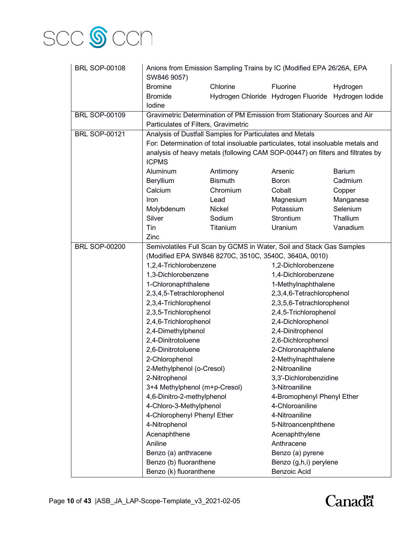

| <b>BRL SOP-00108</b> | Anions from Emission Sampling Trains by IC (Modified EPA 26/26A, EPA |                                                                                  |                                                     |               |  |
|----------------------|----------------------------------------------------------------------|----------------------------------------------------------------------------------|-----------------------------------------------------|---------------|--|
|                      | SW846 9057)                                                          |                                                                                  |                                                     |               |  |
|                      | <b>Bromine</b>                                                       | Chlorine                                                                         | Fluorine                                            | Hydrogen      |  |
|                      | <b>Bromide</b>                                                       |                                                                                  | Hydrogen Chloride Hydrogen Fluoride Hydrogen Iodide |               |  |
|                      | lodine                                                               |                                                                                  |                                                     |               |  |
| <b>BRL SOP-00109</b> |                                                                      | Gravimetric Determination of PM Emission from Stationary Sources and Air         |                                                     |               |  |
|                      | Particulates of Filters, Gravimetric                                 |                                                                                  |                                                     |               |  |
| <b>BRL SOP-00121</b> |                                                                      | Analysis of Dustfall Samples for Particulates and Metals                         |                                                     |               |  |
|                      |                                                                      | For: Determination of total insoluable particulates, total insoluable metals and |                                                     |               |  |
|                      | <b>ICPMS</b>                                                         | analysis of heavy metals (following CAM SOP-00447) on filters and filtrates by   |                                                     |               |  |
|                      | Aluminum                                                             | Antimony                                                                         | Arsenic                                             | <b>Barium</b> |  |
|                      | Beryllium                                                            | <b>Bismuth</b>                                                                   | <b>Boron</b>                                        | Cadmium       |  |
|                      | Calcium                                                              | Chromium                                                                         | Cobalt                                              | Copper        |  |
|                      | Iron                                                                 | Lead                                                                             | Magnesium                                           | Manganese     |  |
|                      | Molybdenum                                                           | Nickel                                                                           | Potassium                                           | Selenium      |  |
|                      | Silver                                                               | Sodium                                                                           | Strontium                                           | Thallium      |  |
|                      | Tin                                                                  | Titanium                                                                         | Uranium                                             | Vanadium      |  |
|                      | Zinc                                                                 |                                                                                  |                                                     |               |  |
| <b>BRL SOP-00200</b> | Semivolatiles Full Scan by GCMS in Water, Soil and Stack Gas Samples |                                                                                  |                                                     |               |  |
|                      |                                                                      | (Modified EPA SW846 8270C, 3510C, 3540C, 3640A, 0010)                            |                                                     |               |  |
|                      | 1,2,4-Trichlorobenzene                                               |                                                                                  | 1,2-Dichlorobenzene                                 |               |  |
|                      | 1,3-Dichlorobenzene                                                  |                                                                                  | 1,4-Dichlorobenzene                                 |               |  |
|                      | 1-Chloronaphthalene                                                  |                                                                                  | 1-Methylnaphthalene                                 |               |  |
|                      | 2,3,4,5-Tetrachlorophenol                                            |                                                                                  | 2,3,4,6-Tetrachlorophenol                           |               |  |
|                      | 2,3,4-Trichlorophenol                                                |                                                                                  | 2,3,5,6-Tetrachlorophenol                           |               |  |
|                      | 2,3,5-Trichlorophenol                                                |                                                                                  | 2,4,5-Trichlorophenol                               |               |  |
|                      | 2,4,6-Trichlorophenol                                                |                                                                                  | 2,4-Dichlorophenol                                  |               |  |
|                      | 2,4-Dimethylphenol                                                   |                                                                                  | 2,4-Dinitrophenol                                   |               |  |
|                      | 2,4-Dinitrotoluene                                                   |                                                                                  | 2,6-Dichlorophenol                                  |               |  |
|                      | 2,6-Dinitrotoluene                                                   |                                                                                  | 2-Chloronaphthalene                                 |               |  |
|                      | 2-Chlorophenol                                                       |                                                                                  | 2-Methylnaphthalene                                 |               |  |
|                      | 2-Methylphenol (o-Cresol)                                            |                                                                                  | 2-Nitroaniline                                      |               |  |
|                      | 2-Nitrophenol                                                        |                                                                                  | 3,3'-Dichlorobenzidine                              |               |  |
|                      | 3+4 Methylphenol (m+p-Cresol)                                        |                                                                                  | 3-Nitroaniline                                      |               |  |
|                      | 4,6-Dinitro-2-methylphenol                                           |                                                                                  | 4-Bromophenyl Phenyl Ether                          |               |  |
|                      | 4-Chloro-3-Methylphenol                                              |                                                                                  | 4-Chloroaniline                                     |               |  |
|                      | 4-Chlorophenyl Phenyl Ether<br>4-Nitrophenol                         |                                                                                  | 4-Nitroaniline                                      |               |  |
|                      | Acenaphthene                                                         |                                                                                  | 5-Nitroancenphthene<br>Acenaphthylene               |               |  |
|                      | Aniline                                                              |                                                                                  | Anthracene                                          |               |  |
|                      | Benzo (a) anthracene                                                 |                                                                                  | Benzo (a) pyrene                                    |               |  |
|                      | Benzo (b) fluoranthene                                               |                                                                                  | Benzo (g,h,i) perylene                              |               |  |
|                      | Benzo (k) fluoranthene                                               |                                                                                  | <b>Benzoic Acid</b>                                 |               |  |
|                      |                                                                      |                                                                                  |                                                     |               |  |

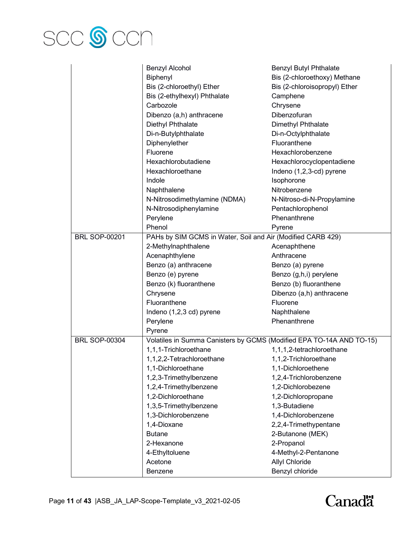

|                      | <b>Benzyl Alcohol</b>                                                | <b>Benzyl Butyl Phthalate</b> |
|----------------------|----------------------------------------------------------------------|-------------------------------|
|                      | Biphenyl                                                             | Bis (2-chloroethoxy) Methane  |
|                      | Bis (2-chloroethyl) Ether                                            | Bis (2-chloroisopropyl) Ether |
|                      | Bis (2-ethylhexyl) Phthalate                                         | Camphene                      |
|                      | Carbozole                                                            | Chrysene                      |
|                      | Dibenzo (a,h) anthracene                                             | Dibenzofuran                  |
|                      | Diethyl Phthalate                                                    | Dimethyl Phthalate            |
|                      | Di-n-Butylphthalate                                                  | Di-n-Octylphthalate           |
|                      | Diphenylether                                                        | Fluoranthene                  |
|                      | Fluorene                                                             | Hexachlorobenzene             |
|                      | Hexachlorobutadiene                                                  | Hexachlorocyclopentadiene     |
|                      | Hexachloroethane                                                     | Indeno (1,2,3-cd) pyrene      |
|                      | Indole                                                               | Isophorone                    |
|                      | Naphthalene                                                          | Nitrobenzene                  |
|                      | N-Nitrosodimethylamine (NDMA)                                        | N-Nitroso-di-N-Propylamine    |
|                      | N-Nitrosodiphenylamine                                               | Pentachlorophenol             |
|                      | Perylene                                                             | Phenanthrene                  |
|                      | Phenol                                                               | Pyrene                        |
| <b>BRL SOP-00201</b> | PAHs by SIM GCMS in Water, Soil and Air (Modified CARB 429)          |                               |
|                      | 2-Methylnaphthalene                                                  | Acenaphthene                  |
|                      | Acenaphthylene                                                       | Anthracene                    |
|                      | Benzo (a) anthracene                                                 | Benzo (a) pyrene              |
|                      | Benzo (e) pyrene                                                     | Benzo (g,h,i) perylene        |
|                      | Benzo (k) fluoranthene                                               | Benzo (b) fluoranthene        |
|                      | Chrysene                                                             | Dibenzo (a,h) anthracene      |
|                      | Fluoranthene                                                         | Fluorene                      |
|                      | Indeno (1,2,3 cd) pyrene                                             | Naphthalene                   |
|                      | Perylene                                                             | Phenanthrene                  |
|                      | Pyrene                                                               |                               |
| <b>BRL SOP-00304</b> | Volatiles in Summa Canisters by GCMS (Modified EPA TO-14A AND TO-15) |                               |
|                      | 1,1,1-Trichloroethane                                                | 1,1,1,2-tetrachloroethane     |
|                      | 1,1,2,2-Tetrachloroethane                                            | 1,1,2-Trichloroethane         |
|                      | 1,1-Dichloroethane                                                   | 1,1-Dichloroethene            |
|                      | 1,2,3-Trimethylbenzene                                               | 1,2,4-Trichlorobenzene        |
|                      | 1,2,4-Trimethylbenzene                                               | 1,2-Dichlorobezene            |
|                      | 1,2-Dichloroethane                                                   | 1,2-Dichloropropane           |
|                      | 1,3,5-Trimethylbenzene                                               | 1,3-Butadiene                 |
|                      | 1,3-Dichlorobenzene                                                  | 1,4-Dichlorobenzene           |
|                      | 1,4-Dioxane                                                          | 2,2,4-Trimethypentane         |
|                      | <b>Butane</b>                                                        | 2-Butanone (MEK)              |
|                      | 2-Hexanone                                                           | 2-Propanol                    |
|                      | 4-Ethyltoluene                                                       | 4-Methyl-2-Pentanone          |
|                      | Acetone                                                              | Allyl Chloride                |
|                      | Benzene                                                              | Benzyl chloride               |
|                      |                                                                      |                               |

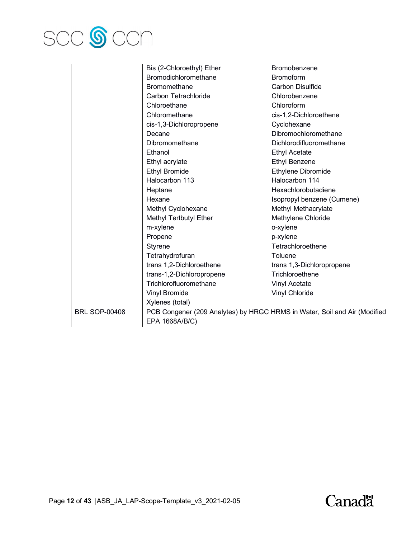

|                      | Bis (2-Chloroethyl) Ether | Bromobenzene                                                              |
|----------------------|---------------------------|---------------------------------------------------------------------------|
|                      | Bromodichloromethane      | <b>Bromoform</b>                                                          |
|                      | <b>Bromomethane</b>       | <b>Carbon Disulfide</b>                                                   |
|                      | Carbon Tetrachloride      | Chlorobenzene                                                             |
|                      | Chloroethane              | Chloroform                                                                |
|                      | Chloromethane             | cis-1,2-Dichloroethene                                                    |
|                      | cis-1,3-Dichloropropene   | Cyclohexane                                                               |
|                      | Decane                    | Dibromochloromethane                                                      |
|                      | Dibromomethane            | Dichlorodifluoromethane                                                   |
|                      | Ethanol                   | <b>Ethyl Acetate</b>                                                      |
|                      | Ethyl acrylate            | <b>Ethyl Benzene</b>                                                      |
|                      | <b>Ethyl Bromide</b>      | Ethylene Dibromide                                                        |
|                      | Halocarbon 113            | Halocarbon 114                                                            |
|                      | Heptane                   | Hexachlorobutadiene                                                       |
|                      | Hexane                    | Isopropyl benzene (Cumene)                                                |
|                      | Methyl Cyclohexane        | Methyl Methacrylate                                                       |
|                      | Methyl Tertbutyl Ether    | Methylene Chloride                                                        |
|                      | m-xylene                  | o-xylene                                                                  |
|                      | Propene                   | p-xylene                                                                  |
|                      | Styrene                   | Tetrachloroethene                                                         |
|                      | Tetrahydrofuran           | Toluene                                                                   |
|                      | trans 1,2-Dichloroethene  | trans 1,3-Dichloropropene                                                 |
|                      | trans-1,2-Dichloropropene | Trichloroethene                                                           |
|                      | Trichlorofluoromethane    | <b>Vinyl Acetate</b>                                                      |
|                      | Vinyl Bromide             | Vinyl Chloride                                                            |
|                      | Xylenes (total)           |                                                                           |
| <b>BRL SOP-00408</b> |                           | PCB Congener (209 Analytes) by HRGC HRMS in Water, Soil and Air (Modified |
|                      | EPA 1668A/B/C)            |                                                                           |

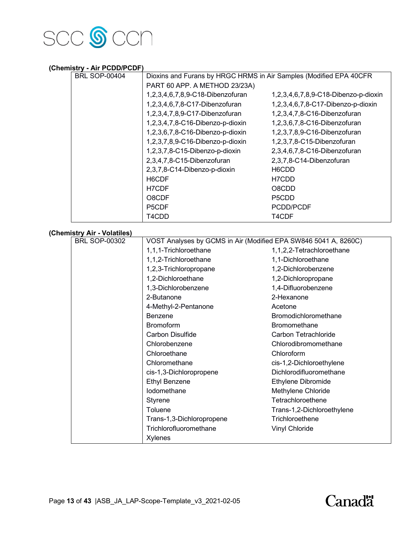

## **(Chemistry - Air PCDD/PCDF)**

| <b>BRL SOP-00404</b> | Dioxins and Furans by HRGC HRMS in Air Samples (Modified EPA 40CFR |                                      |  |  |  |
|----------------------|--------------------------------------------------------------------|--------------------------------------|--|--|--|
|                      | PART 60 APP. A METHOD 23/23A)                                      |                                      |  |  |  |
|                      | 1,2,3,4,6,7,8,9-C18-Dibenzofuran                                   | 1,2,3,4,6,7,8,9-C18-Dibenzo-p-dioxin |  |  |  |
|                      | 1,2,3,4,6,7,8-C17-Dibenzofuran                                     | 1,2,3,4,6,7,8-C17-Dibenzo-p-dioxin   |  |  |  |
|                      | 1,2,3,4,7,8,9-C17-Dibenzofuran                                     | 1,2,3,4,7,8-C16-Dibenzofuran         |  |  |  |
|                      | 1,2,3,4,7,8-C16-Dibenzo-p-dioxin                                   | 1,2,3,6,7,8-C16-Dibenzofuran         |  |  |  |
|                      | 1,2,3,6,7,8-C16-Dibenzo-p-dioxin                                   | 1,2,3,7,8,9-C16-Dibenzofuran         |  |  |  |
|                      | 1,2,3,7,8,9-C16-Dibenzo-p-dioxin                                   | 1,2,3,7,8-C15-Dibenzofuran           |  |  |  |
|                      | 1,2,3,7,8-C15-Dibenzo-p-dioxin                                     | 2,3,4,6,7,8-C16-Dibenzofuran         |  |  |  |
|                      | 2,3,4,7,8-C15-Dibenzofuran                                         | 2,3,7,8-C14-Dibenzofuran             |  |  |  |
|                      | 2,3,7,8-C14-Dibenzo-p-dioxin                                       | H6CDD                                |  |  |  |
|                      | H6CDF                                                              | H7CDD                                |  |  |  |
|                      | H7CDF                                                              | O8CDD                                |  |  |  |
|                      | O8CDF                                                              | P5CDD                                |  |  |  |
|                      | P <sub>5</sub> CDF                                                 | PCDD/PCDF                            |  |  |  |
|                      | T4CDD                                                              | T4CDF                                |  |  |  |
| : A: \/_ __: __\     |                                                                    |                                      |  |  |  |

## **(Chemistry Air - Volatiles)**

| <b>BRL SOP-00302</b> | VOST Analyses by GCMS in Air (Modified EPA SW846 5041 A, 8260C) |                            |  |
|----------------------|-----------------------------------------------------------------|----------------------------|--|
|                      | 1,1,1-Trichloroethane                                           | 1,1,2,2-Tetrachloroethane  |  |
|                      | 1,1,2-Trichloroethane                                           | 1,1-Dichloroethane         |  |
|                      | 1,2,3-Trichloropropane                                          | 1,2-Dichlorobenzene        |  |
|                      | 1,2-Dichloroethane                                              | 1,2-Dichloropropane        |  |
|                      | 1,3-Dichlorobenzene                                             | 1,4-Difluorobenzene        |  |
|                      | 2-Butanone                                                      | 2-Hexanone                 |  |
|                      | 4-Methyl-2-Pentanone                                            | Acetone                    |  |
|                      | Benzene                                                         | Bromodichloromethane       |  |
|                      | <b>Bromoform</b>                                                | <b>Bromomethane</b>        |  |
|                      | Carbon Disulfide                                                | Carbon Tetrachloride       |  |
|                      | Chlorobenzene                                                   | Chlorodibromomethane       |  |
|                      | Chloroethane                                                    | Chloroform                 |  |
|                      | Chloromethane                                                   | cis-1,2-Dichloroethylene   |  |
|                      | cis-1,3-Dichloropropene                                         | Dichlorodifluoromethane    |  |
|                      | <b>Ethyl Benzene</b>                                            | Ethylene Dibromide         |  |
|                      | lodomethane                                                     | Methylene Chloride         |  |
|                      | Styrene                                                         | Tetrachloroethene          |  |
|                      | Toluene                                                         | Trans-1,2-Dichloroethylene |  |
|                      | Trans-1,3-Dichloropropene                                       | Trichloroethene            |  |
|                      | Trichlorofluoromethane                                          | Vinyl Chloride             |  |
|                      | Xylenes                                                         |                            |  |

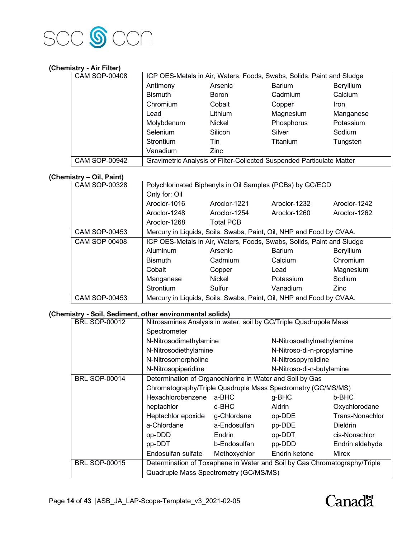

# **(Chemistry - Air Filter)**

| <b>CAM SOP-00408</b> |                                                                       | ICP OES-Metals in Air, Waters, Foods, Swabs, Solids, Paint and Sludge |               |           |  |  |
|----------------------|-----------------------------------------------------------------------|-----------------------------------------------------------------------|---------------|-----------|--|--|
|                      | Antimony                                                              | Arsenic                                                               | <b>Barium</b> | Beryllium |  |  |
|                      | <b>Bismuth</b>                                                        | <b>Boron</b>                                                          | Cadmium       | Calcium   |  |  |
|                      | Chromium                                                              | Cobalt                                                                | Copper        | Iron      |  |  |
|                      | Lead                                                                  | Lithium                                                               | Magnesium     | Manganese |  |  |
|                      | Molybdenum                                                            | <b>Nickel</b>                                                         | Phosphorus    | Potassium |  |  |
|                      | Selenium                                                              | Silicon                                                               | Silver        | Sodium    |  |  |
|                      | Strontium                                                             | Tin                                                                   | Titanium      | Tungsten  |  |  |
|                      | Vanadium                                                              | Zinc                                                                  |               |           |  |  |
| <b>CAM SOP-00942</b> | Gravimetric Analysis of Filter-Collected Suspended Particulate Matter |                                                                       |               |           |  |  |

# **(Chemistry – Oil, Paint)**

| <b>CAM SOP-00328</b> |                 |                  | Polychlorinated Biphenyls in Oil Samples (PCBs) by GC/ECD             |                  |
|----------------------|-----------------|------------------|-----------------------------------------------------------------------|------------------|
|                      | Only for: Oil   |                  |                                                                       |                  |
|                      | Aroclor-1016    | Aroclor-1221     | Aroclor-1232                                                          | Aroclor-1242     |
|                      | Aroclor-1248    | Aroclor-1254     | Aroclor-1260                                                          | Aroclor-1262     |
|                      | Aroclor-1268    | <b>Total PCB</b> |                                                                       |                  |
| <b>CAM SOP-00453</b> |                 |                  | Mercury in Liquids, Soils, Swabs, Paint, Oil, NHP and Food by CVAA.   |                  |
| <b>CAM SOP 00408</b> |                 |                  | ICP OES-Metals in Air, Waters, Foods, Swabs, Solids, Paint and Sludge |                  |
|                      | <b>Aluminum</b> | Arsenic          | <b>Barium</b>                                                         | <b>Beryllium</b> |
|                      | <b>Bismuth</b>  | Cadmium          | Calcium                                                               | Chromium         |
|                      | Cobalt          | Copper           | Lead                                                                  | Magnesium        |
|                      | Manganese       | <b>Nickel</b>    | Potassium                                                             | Sodium           |
|                      | Strontium       | Sulfur           | Vanadium                                                              | <b>Zinc</b>      |
| <b>CAM SOP-00453</b> |                 |                  | Mercury in Liquids, Soils, Swabs, Paint, Oil, NHP and Food by CVAA.   |                  |

## **(Chemistry - Soil, Sediment, other environmental solids)**

| <b>BRL SOP-00012</b> | Nitrosamines Analysis in water, soil by GC/Triple Quadrupole Mass         |              |                            |                 |
|----------------------|---------------------------------------------------------------------------|--------------|----------------------------|-----------------|
|                      | Spectrometer                                                              |              |                            |                 |
|                      | N-Nitrosodimethylamine                                                    |              | N-Nitrosoethylmethylamine  |                 |
|                      | N-Nitrosodiethylamine                                                     |              | N-Nitroso-di-n-propylamine |                 |
|                      | N-Nitrosomorpholine                                                       |              | N-Nitrosopyrolidine        |                 |
|                      | N-Nitrosopiperidine                                                       |              | N-Nitroso-di-n-butylamine  |                 |
| <b>BRL SOP-00014</b> | Determination of Organochlorine in Water and Soil by Gas                  |              |                            |                 |
|                      | Chromatography/Triple Quadruple Mass Spectrometry (GC/MS/MS)              |              |                            |                 |
|                      | Hexachlorobenzene                                                         | a-BHC        | g-BHC                      | b-BHC           |
|                      | heptachlor                                                                | d-BHC        | Aldrin                     | Oxychlorodane   |
|                      | Heptachlor epoxide                                                        | g-Chlordane  | op-DDE                     | Trans-Nonachlor |
|                      | a-Chlordane                                                               | a-Endosulfan | pp-DDE                     | <b>Dieldrin</b> |
|                      | op-DDD                                                                    | Endrin       | op-DDT                     | cis-Nonachlor   |
|                      | pp-DDT                                                                    | b-Endosulfan | pp-DDD                     | Endrin aldehyde |
|                      | Endosulfan sulfate                                                        | Methoxychlor | Endrin ketone              | Mirex           |
| <b>BRL SOP-00015</b> | Determination of Toxaphene in Water and Soil by Gas Chromatography/Triple |              |                            |                 |
|                      | Quadruple Mass Spectrometry (GC/MS/MS)                                    |              |                            |                 |

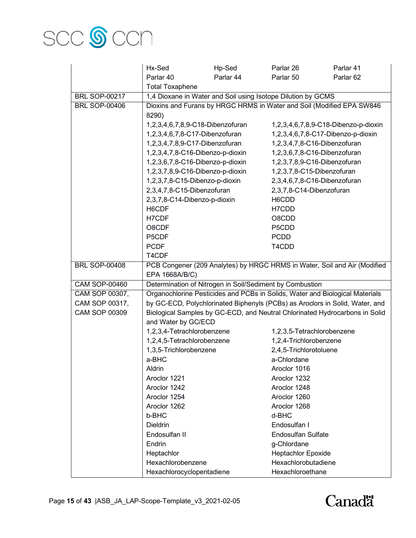

|                      | Hx-Sed                                                                         | Hp-Sed                                                                   | Parlar 26                  | Parlar 41                                                                    |  |  |
|----------------------|--------------------------------------------------------------------------------|--------------------------------------------------------------------------|----------------------------|------------------------------------------------------------------------------|--|--|
|                      | Parlar 40                                                                      | Parlar 44                                                                | Parlar 50                  | Parlar <sub>62</sub>                                                         |  |  |
|                      | <b>Total Toxaphene</b>                                                         |                                                                          |                            |                                                                              |  |  |
| <b>BRL SOP-00217</b> | 1,4 Dioxane in Water and Soil using Isotope Dilution by GCMS                   |                                                                          |                            |                                                                              |  |  |
| <b>BRL SOP-00406</b> | Dioxins and Furans by HRGC HRMS in Water and Soil (Modified EPA SW846<br>8290) |                                                                          |                            |                                                                              |  |  |
|                      |                                                                                | 1,2,3,4,6,7,8,9-C18-Dibenzo-p-dioxin<br>1,2,3,4,6,7,8,9-C18-Dibenzofuran |                            |                                                                              |  |  |
|                      | 1,2,3,4,6,7,8-C17-Dibenzofuran                                                 |                                                                          |                            | 1,2,3,4,6,7,8-C17-Dibenzo-p-dioxin                                           |  |  |
|                      | 1,2,3,4,7,8,9-C17-Dibenzofuran                                                 |                                                                          |                            | 1,2,3,4,7,8-C16-Dibenzofuran                                                 |  |  |
|                      | 1,2,3,4,7,8-C16-Dibenzo-p-dioxin                                               |                                                                          |                            | 1,2,3,6,7,8-C16-Dibenzofuran                                                 |  |  |
|                      | 1,2,3,6,7,8-C16-Dibenzo-p-dioxin                                               |                                                                          |                            | 1,2,3,7,8,9-C16-Dibenzofuran                                                 |  |  |
|                      | 1,2,3,7,8,9-C16-Dibenzo-p-dioxin                                               |                                                                          | 1,2,3,7,8-C15-Dibenzofuran |                                                                              |  |  |
|                      | 1,2,3,7,8-C15-Dibenzo-p-dioxin                                                 |                                                                          |                            | 2,3,4,6,7,8-C16-Dibenzofuran                                                 |  |  |
|                      | 2,3,4,7,8-C15-Dibenzofuran                                                     |                                                                          | 2,3,7,8-C14-Dibenzofuran   |                                                                              |  |  |
|                      | 2,3,7,8-C14-Dibenzo-p-dioxin                                                   |                                                                          | H6CDD                      |                                                                              |  |  |
|                      | H6CDF                                                                          |                                                                          | H7CDD                      |                                                                              |  |  |
|                      | H7CDF                                                                          |                                                                          | O8CDD                      |                                                                              |  |  |
|                      | O8CDF                                                                          |                                                                          | P5CDD                      |                                                                              |  |  |
|                      | P5CDF                                                                          |                                                                          | <b>PCDD</b>                |                                                                              |  |  |
|                      | <b>PCDF</b>                                                                    |                                                                          | T4CDD                      |                                                                              |  |  |
|                      | T4CDF                                                                          |                                                                          |                            |                                                                              |  |  |
| <b>BRL SOP-00408</b> |                                                                                |                                                                          |                            | PCB Congener (209 Analytes) by HRGC HRMS in Water, Soil and Air (Modified    |  |  |
|                      | EPA 1668A/B/C)                                                                 |                                                                          |                            |                                                                              |  |  |
| <b>CAM SOP-00460</b> | Determination of Nitrogen in Soil/Sediment by Combustion                       |                                                                          |                            |                                                                              |  |  |
| CAM SOP 00307,       |                                                                                |                                                                          |                            | Organochlorine Pesticides and PCBs in Solids, Water and Biological Materials |  |  |
| CAM SOP 00317,       |                                                                                |                                                                          |                            | by GC-ECD, Polychlorinated Biphenyls (PCBs) as Aroclors in Solid, Water, and |  |  |
| <b>CAM SOP 00309</b> |                                                                                |                                                                          |                            | Biological Samples by GC-ECD, and Neutral Chlorinated Hydrocarbons in Solid  |  |  |
|                      | and Water by GC/ECD                                                            |                                                                          |                            |                                                                              |  |  |
|                      | 1,2,3,4-Tetrachlorobenzene                                                     |                                                                          | 1,2,3,5-Tetrachlorobenzene |                                                                              |  |  |
|                      | 1,2,4,5-Tetrachlorobenzene                                                     |                                                                          | 1,2,4-Trichlorobenzene     |                                                                              |  |  |
|                      | 1,3,5-Trichlorobenzene                                                         |                                                                          | 2,4,5-Trichlorotoluene     |                                                                              |  |  |
|                      | a-BHC                                                                          |                                                                          | a-Chlordane                |                                                                              |  |  |
|                      | Aldrin                                                                         |                                                                          | Aroclor 1016               |                                                                              |  |  |
|                      | Aroclor 1221                                                                   |                                                                          | Aroclor 1232               |                                                                              |  |  |
|                      | Aroclor 1242                                                                   |                                                                          | Aroclor 1248               |                                                                              |  |  |
|                      | Aroclor 1254                                                                   |                                                                          | Aroclor 1260               |                                                                              |  |  |
|                      | Aroclor 1262                                                                   |                                                                          | Aroclor 1268               |                                                                              |  |  |
|                      | b-BHC                                                                          |                                                                          | d-BHC                      |                                                                              |  |  |
|                      | <b>Dieldrin</b>                                                                |                                                                          | Endosulfan I               |                                                                              |  |  |
|                      | Endosulfan II                                                                  |                                                                          | <b>Endosulfan Sulfate</b>  |                                                                              |  |  |
|                      | Endrin                                                                         |                                                                          | g-Chlordane                |                                                                              |  |  |
|                      | Heptachlor                                                                     |                                                                          | Heptachlor Epoxide         |                                                                              |  |  |
|                      | Hexachlorobenzene                                                              |                                                                          | Hexachlorobutadiene        |                                                                              |  |  |
|                      | Hexachlorocyclopentadiene                                                      |                                                                          | Hexachloroethane           |                                                                              |  |  |

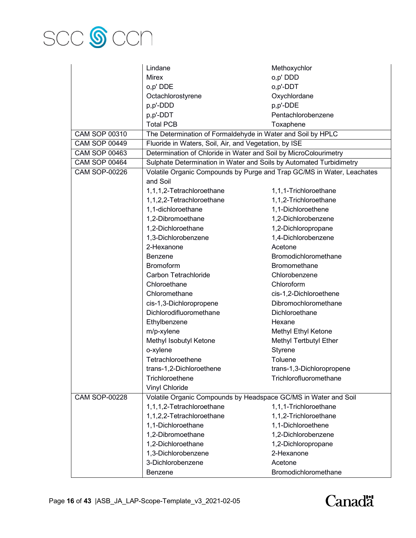

|                      | Lindane                                                                | Methoxychlor              |
|----------------------|------------------------------------------------------------------------|---------------------------|
|                      | <b>Mirex</b>                                                           | o,p' DDD                  |
|                      | o,p' DDE                                                               | o,p'-DDT                  |
|                      | Octachlorostyrene                                                      | Oxychlordane              |
|                      | p,p'-DDD                                                               | p,p'-DDE                  |
|                      | p,p'-DDT                                                               | Pentachlorobenzene        |
|                      | <b>Total PCB</b>                                                       | Toxaphene                 |
| CAM SOP 00310        | The Determination of Formaldehyde in Water and Soil by HPLC            |                           |
| <b>CAM SOP 00449</b> | Fluoride in Waters, Soil, Air, and Vegetation, by ISE                  |                           |
| <b>CAM SOP 00463</b> | Determination of Chloride in Water and Soil by MicroColourimetry       |                           |
| <b>CAM SOP 00464</b> | Sulphate Determination in Water and Soils by Automated Turbidimetry    |                           |
| <b>CAM SOP-00226</b> | Volatile Organic Compounds by Purge and Trap GC/MS in Water, Leachates |                           |
|                      | and Soil                                                               |                           |
|                      | 1,1,1,2-Tetrachloroethane                                              | 1,1,1-Trichloroethane     |
|                      | 1,1,2,2-Tetrachloroethane                                              | 1,1,2-Trichloroethane     |
|                      | 1,1-dichloroethane                                                     | 1,1-Dichloroethene        |
|                      | 1,2-Dibromoethane                                                      | 1,2-Dichlorobenzene       |
|                      | 1,2-Dichloroethane                                                     | 1,2-Dichloropropane       |
|                      | 1,3-Dichlorobenzene                                                    | 1,4-Dichlorobenzene       |
|                      | 2-Hexanone                                                             | Acetone                   |
|                      | <b>Benzene</b>                                                         | Bromodichloromethane      |
|                      | <b>Bromoform</b>                                                       | Bromomethane              |
|                      | Carbon Tetrachloride                                                   | Chlorobenzene             |
|                      | Chloroethane                                                           | Chloroform                |
|                      | Chloromethane                                                          | cis-1,2-Dichloroethene    |
|                      | cis-1,3-Dichloropropene                                                | Dibromochloromethane      |
|                      | Dichlorodifluoromethane                                                | Dichloroethane            |
|                      | Ethylbenzene                                                           | Hexane                    |
|                      | m/p-xylene                                                             | Methyl Ethyl Ketone       |
|                      | Methyl Isobutyl Ketone                                                 | Methyl Tertbutyl Ether    |
|                      | o-xylene                                                               | Styrene                   |
|                      | Tetrachloroethene                                                      | Toluene                   |
|                      | trans-1,2-Dichloroethene                                               | trans-1,3-Dichloropropene |
|                      | Trichloroethene                                                        | Trichlorofluoromethane    |
|                      | Vinyl Chloride                                                         |                           |
| <b>CAM SOP-00228</b> | Volatile Organic Compounds by Headspace GC/MS in Water and Soil        |                           |
|                      | 1,1,1,2-Tetrachloroethane                                              | 1,1,1-Trichloroethane     |
|                      | 1,1,2,2-Tetrachloroethane                                              | 1,1,2-Trichloroethane     |
|                      | 1,1-Dichloroethane                                                     | 1,1-Dichloroethene        |
|                      | 1,2-Dibromoethane                                                      | 1,2-Dichlorobenzene       |
|                      | 1,2-Dichloroethane                                                     | 1,2-Dichloropropane       |
|                      | 1,3-Dichlorobenzene                                                    | 2-Hexanone                |
|                      | 3-Dichlorobenzene                                                      | Acetone                   |
|                      | Benzene                                                                | Bromodichloromethane      |

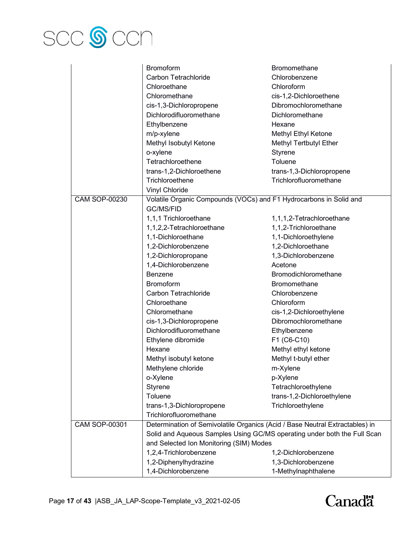

|                      | <b>Bromoform</b>                                                             | Bromomethane               |
|----------------------|------------------------------------------------------------------------------|----------------------------|
|                      | Carbon Tetrachloride                                                         | Chlorobenzene              |
|                      | Chloroethane                                                                 | Chloroform                 |
|                      | Chloromethane                                                                | cis-1,2-Dichloroethene     |
|                      | cis-1,3-Dichloropropene                                                      | Dibromochloromethane       |
|                      | Dichlorodifluoromethane                                                      | Dichloromethane            |
|                      | Ethylbenzene                                                                 | Hexane                     |
|                      | m/p-xylene                                                                   | Methyl Ethyl Ketone        |
|                      | Methyl Isobutyl Ketone                                                       | Methyl Tertbutyl Ether     |
|                      | o-xylene                                                                     | Styrene                    |
|                      | Tetrachloroethene                                                            | Toluene                    |
|                      | trans-1,2-Dichloroethene                                                     | trans-1,3-Dichloropropene  |
|                      | Trichloroethene                                                              | Trichlorofluoromethane     |
|                      | Vinyl Chloride                                                               |                            |
| <b>CAM SOP-00230</b> | Volatile Organic Compounds (VOCs) and F1 Hydrocarbons in Solid and           |                            |
|                      | GC/MS/FID                                                                    |                            |
|                      | 1,1,1 Trichloroethane                                                        | 1,1,1,2-Tetrachloroethane  |
|                      | 1,1,2,2-Tetrachloroethane                                                    | 1,1,2-Trichloroethane      |
|                      | 1,1-Dichloroethane                                                           | 1,1-Dichloroethylene       |
|                      | 1,2-Dichlorobenzene                                                          | 1,2-Dichloroethane         |
|                      | 1,2-Dichloropropane                                                          | 1,3-Dichlorobenzene        |
|                      | 1,4-Dichlorobenzene                                                          | Acetone                    |
|                      | Benzene                                                                      | Bromodichloromethane       |
|                      | <b>Bromoform</b>                                                             | Bromomethane               |
|                      | Carbon Tetrachloride                                                         | Chlorobenzene              |
|                      | Chloroethane                                                                 | Chloroform                 |
|                      | Chloromethane                                                                | cis-1,2-Dichloroethylene   |
|                      | cis-1,3-Dichloropropene                                                      | Dibromochloromethane       |
|                      | Dichlorodifluoromethane                                                      | Ethylbenzene               |
|                      | Ethylene dibromide                                                           | F1 (C6-C10)                |
|                      | Hexane                                                                       | Methyl ethyl ketone        |
|                      | Methyl isobutyl ketone                                                       | Methyl t-butyl ether       |
|                      | Methylene chloride                                                           | m-Xylene                   |
|                      | o-Xylene                                                                     | p-Xylene                   |
|                      | Styrene                                                                      | Tetrachloroethylene        |
|                      | Toluene                                                                      | trans-1,2-Dichloroethylene |
|                      | trans-1,3-Dichloropropene                                                    | Trichloroethylene          |
|                      | Trichlorofluoromethane                                                       |                            |
| <b>CAM SOP-00301</b> | Determination of Semivolatile Organics (Acid / Base Neutral Extractables) in |                            |
|                      | Solid and Aqueous Samples Using GC/MS operating under both the Full Scan     |                            |
|                      | and Selected Ion Monitoring (SIM) Modes                                      |                            |
|                      | 1,2,4-Trichlorobenzene                                                       | 1,2-Dichlorobenzene        |
|                      | 1,2-Diphenylhydrazine                                                        | 1,3-Dichlorobenzene        |
|                      | 1,4-Dichlorobenzene                                                          | 1-Methylnaphthalene        |

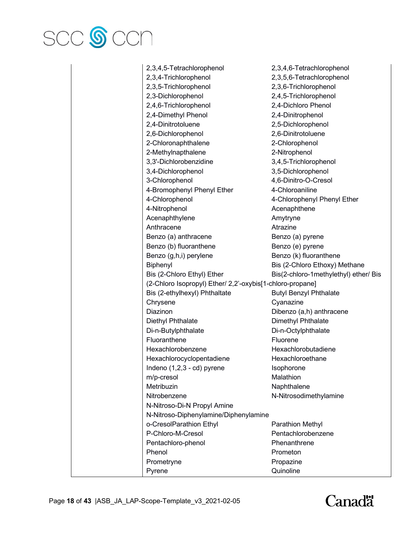

| 2,3,4,5-Tetrachlorophenol                                 | 2,3,4,6-Tetrachlorophenol             |
|-----------------------------------------------------------|---------------------------------------|
| 2,3,4-Trichlorophenol                                     | 2,3,5,6-Tetrachlorophenol             |
| 2,3,5-Trichlorophenol                                     | 2,3,6-Trichlorophenol                 |
| 2,3-Dichlorophenol                                        | 2,4,5-Trichlorophenol                 |
| 2,4,6-Trichlorophenol                                     | 2,4-Dichloro Phenol                   |
| 2,4-Dimethyl Phenol                                       | 2,4-Dinitrophenol                     |
| 2,4-Dinitrotoluene                                        | 2,5-Dichlorophenol                    |
| 2,6-Dichlorophenol                                        | 2,6-Dinitrotoluene                    |
| 2-Chloronaphthalene                                       | 2-Chlorophenol                        |
| 2-Methylnapthalene                                        | 2-Nitrophenol                         |
| 3,3'-Dichlorobenzidine                                    | 3,4,5-Trichlorophenol                 |
| 3,4-Dichlorophenol                                        | 3,5-Dichlorophenol                    |
| 3-Chlorophenol                                            | 4,6-Dinitro-O-Cresol                  |
| 4-Bromophenyl Phenyl Ether                                | 4-Chloroaniline                       |
| 4-Chlorophenol                                            | 4-Chlorophenyl Phenyl Ether           |
| 4-Nitrophenol                                             | Acenaphthene                          |
| Acenaphthylene                                            | Amytryne                              |
| Anthracene                                                | Atrazine                              |
| Benzo (a) anthracene                                      | Benzo (a) pyrene                      |
| Benzo (b) fluoranthene                                    | Benzo (e) pyrene                      |
| Benzo (g,h,i) perylene                                    | Benzo (k) fluoranthene                |
| Biphenyl                                                  | Bis (2-Chloro Ethoxy) Methane         |
| Bis (2-Chloro Ethyl) Ether                                | Bis(2-chloro-1methylethyl) ether/ Bis |
| (2-Chloro Isopropyl) Ether/ 2,2'-oxybis[1-chloro-propane] |                                       |
| Bis (2-ethylhexyl) Phthaltate                             | <b>Butyl Benzyl Phthalate</b>         |
| Chrysene                                                  | Cyanazine                             |
| <b>Diazinon</b>                                           | Dibenzo (a,h) anthracene              |
| Diethyl Phthalate                                         | Dimethyl Phthalate                    |
| Di-n-Butylphthalate                                       | Di-n-Octylphthalate                   |
| Fluoranthene                                              | Fluorene                              |
| Hexachlorobenzene                                         | Hexachlorobutadiene                   |
| Hexachlorocyclopentadiene                                 | Hexachloroethane                      |
| Indeno (1,2,3 - cd) pyrene                                | Isophorone                            |
| m/p-cresol                                                | Malathion                             |
| Metribuzin                                                | Naphthalene                           |
| Nitrobenzene                                              | N-Nitrosodimethylamine                |
| N-Nitroso-Di-N Propyl Amine                               |                                       |
|                                                           |                                       |
| N-Nitroso-Diphenylamine/Diphenylamine                     |                                       |
| o-CresolParathion Ethyl                                   | Parathion Methyl                      |
| P-Chloro-M-Cresol                                         | Pentachlorobenzene                    |
| Pentachloro-phenol                                        | Phenanthrene                          |
| Phenol                                                    | Prometon                              |
| Prometryne                                                | Propazine                             |
| Pyrene                                                    | Quinoline                             |

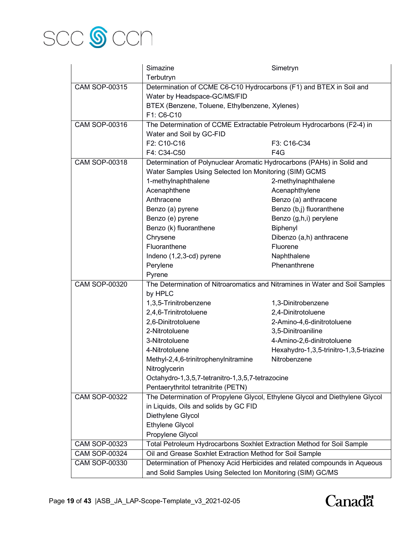

|                      | Simazine                                                                     | Simetryn                                                                     |  |
|----------------------|------------------------------------------------------------------------------|------------------------------------------------------------------------------|--|
|                      | Terbutryn                                                                    |                                                                              |  |
| <b>CAM SOP-00315</b> | Determination of CCME C6-C10 Hydrocarbons (F1) and BTEX in Soil and          |                                                                              |  |
|                      | Water by Headspace-GC/MS/FID                                                 |                                                                              |  |
|                      | BTEX (Benzene, Toluene, Ethylbenzene, Xylenes)                               |                                                                              |  |
|                      | F1: C6-C10                                                                   |                                                                              |  |
| <b>CAM SOP-00316</b> | The Determination of CCME Extractable Petroleum Hydrocarbons (F2-4) in       |                                                                              |  |
|                      | Water and Soil by GC-FID                                                     |                                                                              |  |
|                      | F2: C10-C16                                                                  | F3: C16-C34                                                                  |  |
|                      | F4: C34-C50                                                                  | F4G                                                                          |  |
| <b>CAM SOP-00318</b> | Determination of Polynuclear Aromatic Hydrocarbons (PAHs) in Solid and       |                                                                              |  |
|                      | Water Samples Using Selected Ion Monitoring (SIM) GCMS                       |                                                                              |  |
|                      | 1-methylnaphthalene                                                          | 2-methylnaphthalene                                                          |  |
|                      | Acenaphthene                                                                 | Acenaphthylene                                                               |  |
|                      | Anthracene                                                                   | Benzo (a) anthracene                                                         |  |
|                      | Benzo (a) pyrene                                                             | Benzo (b,j) fluoranthene                                                     |  |
|                      | Benzo (e) pyrene                                                             | Benzo (g,h,i) perylene                                                       |  |
|                      | Benzo (k) fluoranthene                                                       | Biphenyl                                                                     |  |
|                      | Chrysene                                                                     | Dibenzo (a,h) anthracene                                                     |  |
|                      | Fluoranthene                                                                 | Fluorene                                                                     |  |
|                      | Indeno (1,2,3-cd) pyrene                                                     | Naphthalene                                                                  |  |
|                      | Perylene                                                                     | Phenanthrene                                                                 |  |
|                      | Pyrene                                                                       |                                                                              |  |
| <b>CAM SOP-00320</b> |                                                                              | The Determination of Nitroaromatics and Nitramines in Water and Soil Samples |  |
|                      | by HPLC                                                                      |                                                                              |  |
|                      | 1,3,5-Trinitrobenzene                                                        | 1,3-Dinitrobenzene                                                           |  |
|                      | 2,4,6-Trinitrotoluene                                                        | 2,4-Dinitrotoluene                                                           |  |
|                      | 2,6-Dinitrotoluene                                                           | 2-Amino-4,6-dinitrotoluene                                                   |  |
|                      | 2-Nitrotoluene                                                               | 3,5-Dinitroaniline                                                           |  |
|                      | 3-Nitrotoluene                                                               | 4-Amino-2,6-dinitrotoluene                                                   |  |
|                      | 4-Nitrotoluene                                                               | Hexahydro-1,3,5-trinitro-1,3,5-triazine                                      |  |
|                      | Methyl-2,4,6-trinitrophenylnitramine                                         | Nitrobenzene                                                                 |  |
|                      | Nitroglycerin                                                                |                                                                              |  |
|                      | Octahydro-1,3,5,7-tetranitro-1,3,5,7-tetrazocine                             |                                                                              |  |
|                      | Pentaerythritol tetranitrite (PETN)                                          |                                                                              |  |
| <b>CAM SOP-00322</b> | The Determination of Propylene Glycol, Ethylene Glycol and Diethylene Glycol |                                                                              |  |
|                      | in Liquids, Oils and solids by GC FID                                        |                                                                              |  |
|                      | Diethylene Glycol                                                            |                                                                              |  |
|                      | <b>Ethylene Glycol</b>                                                       |                                                                              |  |
|                      | Propylene Glycol                                                             |                                                                              |  |
| <b>CAM SOP-00323</b> | Total Petroleum Hydrocarbons Soxhlet Extraction Method for Soil Sample       |                                                                              |  |
| <b>CAM SOP-00324</b> | Oil and Grease Soxhlet Extraction Method for Soil Sample                     |                                                                              |  |
| <b>CAM SOP-00330</b> |                                                                              | Determination of Phenoxy Acid Herbicides and related compounds in Aqueous    |  |
|                      | and Solid Samples Using Selected Ion Monitoring (SIM) GC/MS                  |                                                                              |  |

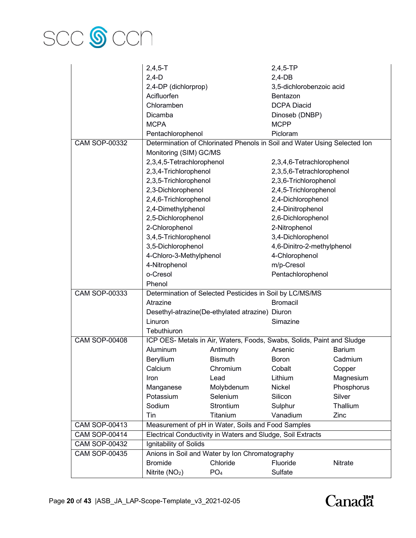

|                      | $2,4,5 - T$                                                 |                                                          | $2,4,5$ -TP                                                               |               |
|----------------------|-------------------------------------------------------------|----------------------------------------------------------|---------------------------------------------------------------------------|---------------|
|                      | $2,4-D$                                                     |                                                          | $2,4-DB$                                                                  |               |
|                      | 2,4-DP (dichlorprop)                                        |                                                          | 3,5-dichlorobenzoic acid                                                  |               |
|                      | Acifluorfen                                                 |                                                          | Bentazon                                                                  |               |
|                      | Chloramben                                                  |                                                          | <b>DCPA Diacid</b>                                                        |               |
|                      | Dicamba                                                     |                                                          | Dinoseb (DNBP)                                                            |               |
|                      | <b>MCPA</b>                                                 |                                                          | <b>MCPP</b>                                                               |               |
|                      | Pentachlorophenol                                           |                                                          | Picloram                                                                  |               |
| <b>CAM SOP-00332</b> |                                                             |                                                          | Determination of Chlorinated Phenols in Soil and Water Using Selected Ion |               |
|                      | Monitoring (SIM) GC/MS                                      |                                                          |                                                                           |               |
|                      | 2,3,4,5-Tetrachlorophenol                                   |                                                          | 2,3,4,6-Tetrachlorophenol                                                 |               |
|                      | 2,3,4-Trichlorophenol                                       |                                                          | 2,3,5,6-Tetrachlorophenol                                                 |               |
|                      | 2,3,5-Trichlorophenol                                       |                                                          | 2,3,6-Trichlorophenol                                                     |               |
|                      | 2,3-Dichlorophenol                                          |                                                          | 2,4,5-Trichlorophenol                                                     |               |
|                      | 2,4,6-Trichlorophenol                                       |                                                          | 2,4-Dichlorophenol                                                        |               |
|                      | 2,4-Dimethylphenol                                          |                                                          | 2,4-Dinitrophenol                                                         |               |
|                      | 2,5-Dichlorophenol                                          |                                                          | 2,6-Dichlorophenol                                                        |               |
|                      | 2-Chlorophenol                                              |                                                          | 2-Nitrophenol                                                             |               |
|                      | 3,4,5-Trichlorophenol                                       |                                                          | 3,4-Dichlorophenol                                                        |               |
|                      | 3,5-Dichlorophenol                                          |                                                          | 4,6-Dinitro-2-methylphenol                                                |               |
|                      | 4-Chloro-3-Methylphenol                                     |                                                          | 4-Chlorophenol                                                            |               |
|                      | 4-Nitrophenol                                               |                                                          | m/p-Cresol                                                                |               |
|                      | o-Cresol                                                    |                                                          | Pentachlorophenol                                                         |               |
|                      | Phenol                                                      |                                                          |                                                                           |               |
| <b>CAM SOP-00333</b> |                                                             | Determination of Selected Pesticides in Soil by LC/MS/MS |                                                                           |               |
|                      | <b>Bromacil</b><br>Atrazine                                 |                                                          |                                                                           |               |
|                      | Desethyl-atrazine(De-ethylated atrazine) Diuron             |                                                          |                                                                           |               |
|                      | Linuron                                                     |                                                          | Simazine                                                                  |               |
|                      | Tebuthiuron                                                 |                                                          |                                                                           |               |
| <b>CAM SOP-00408</b> |                                                             |                                                          | ICP OES- Metals in Air, Waters, Foods, Swabs, Solids, Paint and Sludge    |               |
|                      | Aluminum                                                    | Antimony                                                 | Arsenic                                                                   | <b>Barium</b> |
|                      | Beryllium                                                   | <b>Bismuth</b>                                           | <b>Boron</b>                                                              | Cadmium       |
|                      | Calcium                                                     | Chromium                                                 | Cobalt                                                                    | Copper        |
|                      | Iron                                                        | Lead                                                     | Lithium                                                                   | Magnesium     |
|                      | Manganese                                                   | Molybdenum                                               | Nickel                                                                    | Phosphorus    |
|                      | Potassium                                                   | Selenium                                                 | Silicon                                                                   | Silver        |
|                      | Sodium                                                      | Strontium                                                | Sulphur                                                                   | Thallium      |
|                      | Tin                                                         | Titanium                                                 | Vanadium                                                                  | Zinc          |
| <b>CAM SOP-00413</b> | Measurement of pH in Water, Soils and Food Samples          |                                                          |                                                                           |               |
| <b>CAM SOP-00414</b> | Electrical Conductivity in Waters and Sludge, Soil Extracts |                                                          |                                                                           |               |
| <b>CAM SOP-00432</b> | Ignitability of Solids                                      |                                                          |                                                                           |               |
| <b>CAM SOP-00435</b> | Anions in Soil and Water by Ion Chromatography              |                                                          |                                                                           |               |
|                      | <b>Bromide</b>                                              | Chloride                                                 | Fluoride                                                                  | Nitrate       |
|                      | Nitrite (NO <sub>2</sub> )                                  | PO <sub>4</sub>                                          | Sulfate                                                                   |               |

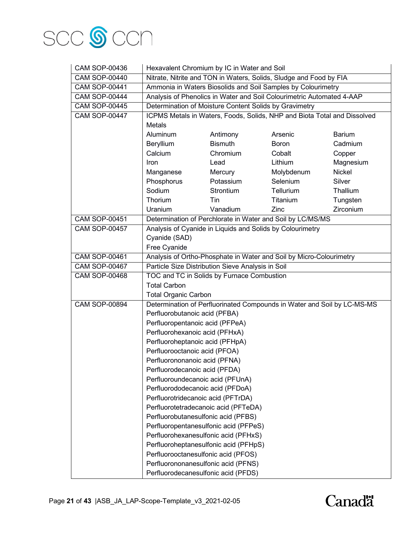

| <b>CAM SOP-00436</b> | Hexavalent Chromium by IC in Water and Soil                                                            |                                                           |                                                                          |               |
|----------------------|--------------------------------------------------------------------------------------------------------|-----------------------------------------------------------|--------------------------------------------------------------------------|---------------|
| <b>CAM SOP-00440</b> | Nitrate, Nitrite and TON in Waters, Solids, Sludge and Food by FIA                                     |                                                           |                                                                          |               |
| <b>CAM SOP-00441</b> | Ammonia in Waters Biosolids and Soil Samples by Colourimetry                                           |                                                           |                                                                          |               |
| <b>CAM SOP-00444</b> |                                                                                                        |                                                           | Analysis of Phenolics in Water and Soil Colourimetric Automated 4-AAP    |               |
| <b>CAM SOP-00445</b> |                                                                                                        | Determination of Moisture Content Solids by Gravimetry    |                                                                          |               |
| <b>CAM SOP-00447</b> |                                                                                                        |                                                           | ICPMS Metals in Waters, Foods, Solids, NHP and Biota Total and Dissolved |               |
|                      | Metals                                                                                                 |                                                           |                                                                          |               |
|                      | Aluminum                                                                                               | Antimony                                                  | Arsenic                                                                  | <b>Barium</b> |
|                      | Beryllium                                                                                              | <b>Bismuth</b>                                            | <b>Boron</b>                                                             | Cadmium       |
|                      | Calcium                                                                                                | Chromium                                                  | Cobalt                                                                   | Copper        |
|                      | Iron                                                                                                   | Lead                                                      | Lithium                                                                  | Magnesium     |
|                      | Manganese                                                                                              | Mercury                                                   | Molybdenum                                                               | Nickel        |
|                      | Phosphorus                                                                                             | Potassium                                                 | Selenium                                                                 | Silver        |
|                      | Sodium                                                                                                 | Strontium                                                 | Tellurium                                                                | Thallium      |
|                      | Thorium                                                                                                | Tin                                                       | Titanium                                                                 | Tungsten      |
|                      | Uranium                                                                                                | Vanadium                                                  | Zinc                                                                     | Zirconium     |
| <b>CAM SOP-00451</b> |                                                                                                        |                                                           | Determination of Perchlorate in Water and Soil by LC/MS/MS               |               |
| <b>CAM SOP-00457</b> |                                                                                                        | Analysis of Cyanide in Liquids and Solids by Colourimetry |                                                                          |               |
|                      | Cyanide (SAD)                                                                                          |                                                           |                                                                          |               |
|                      | Free Cyanide                                                                                           |                                                           |                                                                          |               |
| <b>CAM SOP-00461</b> | Analysis of Ortho-Phosphate in Water and Soil by Micro-Colourimetry                                    |                                                           |                                                                          |               |
| <b>CAM SOP-00467</b> |                                                                                                        | Particle Size Distribution Sieve Analysis in Soil         |                                                                          |               |
| <b>CAM SOP-00468</b> | TOC and TC in Solids by Furnace Combustion                                                             |                                                           |                                                                          |               |
|                      | <b>Total Carbon</b>                                                                                    |                                                           |                                                                          |               |
|                      | <b>Total Organic Carbon</b><br>Determination of Perfluorinated Compounds in Water and Soil by LC-MS-MS |                                                           |                                                                          |               |
| <b>CAM SOP-00894</b> |                                                                                                        |                                                           |                                                                          |               |
|                      | Perfluorobutanoic acid (PFBA)                                                                          |                                                           |                                                                          |               |
|                      | Perfluoropentanoic acid (PFPeA)                                                                        |                                                           |                                                                          |               |
|                      | Perfluorohexanoic acid (PFHxA)                                                                         |                                                           |                                                                          |               |
|                      | Perfluoroheptanoic acid (PFHpA)                                                                        |                                                           |                                                                          |               |
|                      | Perfluorooctanoic acid (PFOA)                                                                          |                                                           |                                                                          |               |
|                      | Perfluorononanoic acid (PFNA)                                                                          |                                                           |                                                                          |               |
|                      | Perfluorodecanoic acid (PFDA)                                                                          |                                                           |                                                                          |               |
|                      | Perfluoroundecanoic acid (PFUnA)                                                                       |                                                           |                                                                          |               |
|                      | Perfluorododecanoic acid (PFDoA)                                                                       |                                                           |                                                                          |               |
|                      | Perfluorotridecanoic acid (PFTrDA)                                                                     |                                                           |                                                                          |               |
|                      | Perfluorotetradecanoic acid (PFTeDA)                                                                   |                                                           |                                                                          |               |
|                      | Perfluorobutanesulfonic acid (PFBS)                                                                    |                                                           |                                                                          |               |
|                      |                                                                                                        | Perfluoropentanesulfonic acid (PFPeS)                     |                                                                          |               |
|                      | Perfluorohexanesulfonic acid (PFHxS)                                                                   |                                                           |                                                                          |               |
|                      |                                                                                                        | Perfluoroheptanesulfonic acid (PFHpS)                     |                                                                          |               |
|                      | Perfluorooctanesulfonic acid (PFOS)                                                                    |                                                           |                                                                          |               |
|                      | Perfluorononanesulfonic acid (PFNS)                                                                    |                                                           |                                                                          |               |
|                      | Perfluorodecanesulfonic acid (PFDS)                                                                    |                                                           |                                                                          |               |

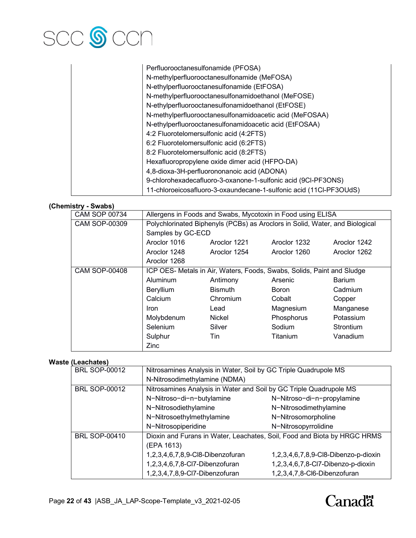

| Perfluorooctanesulfonamide (PFOSA)                                 |
|--------------------------------------------------------------------|
| N-methylperfluorooctanesulfonamide (MeFOSA)                        |
| N-ethylperfluorooctanesulfonamide (EtFOSA)                         |
| N-methylperfluorooctanesulfonamidoethanol (MeFOSE)                 |
| N-ethylperfluorooctanesulfonamidoethanol (EtFOSE)                  |
| N-methylperfluorooctanesulfonamidoacetic acid (MeFOSAA)            |
| N-ethylperfluorooctanesulfonamidoacetic acid (EtFOSAA)             |
| 4:2 Fluorotelomersulfonic acid (4:2FTS)                            |
| 6:2 Fluorotelomersulfonic acid (6:2FTS)                            |
| 8:2 Fluorotelomersulfonic acid (8:2FTS)                            |
| Hexafluoropropylene oxide dimer acid (HFPO-DA)                     |
| 4,8-dioxa-3H-perfluorononanoic acid (ADONA)                        |
| 9-chlorohexadecafluoro-3-oxanone-1-sulfonic acid (9CI-PF3ONS)      |
| 11-chloroeicosafluoro-3-oxaundecane-1-sulfonic acid (11Cl-PF3OUdS) |

# **(Chemistry - Swabs)**

| - <del>- - - - - -</del> |                                                                                                   |                |                 |                  |
|--------------------------|---------------------------------------------------------------------------------------------------|----------------|-----------------|------------------|
| <b>CAM SOP 00734</b>     | Allergens in Foods and Swabs, Mycotoxin in Food using ELISA                                       |                |                 |                  |
| <b>CAM SOP-00309</b>     | Polychlorinated Biphenyls (PCBs) as Aroclors in Solid, Water, and Biological<br>Samples by GC-ECD |                |                 |                  |
|                          |                                                                                                   |                |                 |                  |
|                          | Aroclor 1016                                                                                      | Aroclor 1221   | Aroclor 1232    | Aroclor 1242     |
|                          | Aroclor 1248                                                                                      | Aroclor 1254   | Aroclor 1260    | Aroclor 1262     |
|                          | Aroclor 1268                                                                                      |                |                 |                  |
| <b>CAM SOP-00408</b>     | ICP OES- Metals in Air, Waters, Foods, Swabs, Solids, Paint and Sludge                            |                |                 |                  |
|                          | Aluminum                                                                                          | Antimony       | Arsenic         | <b>Barium</b>    |
|                          | Beryllium                                                                                         | <b>Bismuth</b> | <b>Boron</b>    | Cadmium          |
|                          | Calcium                                                                                           | Chromium       | Cobalt          | Copper           |
|                          | Iron                                                                                              | Lead           | Magnesium       | Manganese        |
|                          | Molybdenum                                                                                        | Nickel         | Phosphorus      | Potassium        |
|                          | Selenium                                                                                          | Silver         | Sodium          | <b>Strontium</b> |
|                          | Sulphur                                                                                           | Tin            | <b>Titanium</b> | Vanadium         |
|                          | Zinc                                                                                              |                |                 |                  |

#### **Waste (Leachates)**

| <b>BRL SOP-00012</b> | Nitrosamines Analysis in Water, Soil by GC Triple Quadrupole MS          |                                      |  |
|----------------------|--------------------------------------------------------------------------|--------------------------------------|--|
|                      | N-Nitrosodimethylamine (NDMA)                                            |                                      |  |
| <b>BRL SOP-00012</b> | Nitrosamines Analysis in Water and Soil by GC Triple Quadrupole MS       |                                      |  |
|                      | N-Nitroso-di-n-butylamine                                                | N-Nitroso-di-n-propylamine           |  |
|                      | N-Nitrosodiethylamine                                                    | N-Nitrosodimethylamine               |  |
|                      | N-Nitrosoethylmethylamine                                                | N-Nitrosomorpholine                  |  |
|                      | N-Nitrosopiperidine                                                      | N-Nitrosopyrrolidine                 |  |
| <b>BRL SOP-00410</b> | Dioxin and Furans in Water, Leachates, Soil, Food and Biota by HRGC HRMS |                                      |  |
|                      | (EPA 1613)                                                               |                                      |  |
|                      | 1,2,3,4,6,7,8,9-Cl8-Dibenzofuran                                         | 1,2,3,4,6,7,8,9-Cl8-Dibenzo-p-dioxin |  |
|                      | 1,2,3,4,6,7,8-Cl7-Dibenzofuran                                           | 1,2,3,4,6,7,8-Cl7-Dibenzo-p-dioxin   |  |
|                      | 1,2,3,4,7,8,9-Cl7-Dibenzofuran                                           | 1,2,3,4,7,8-Cl6-Dibenzofuran         |  |
|                      |                                                                          |                                      |  |

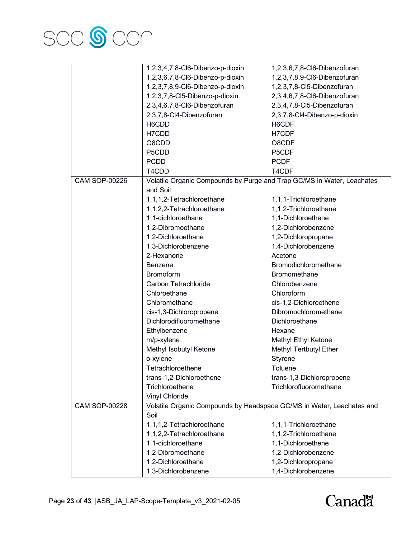

|                      | 1,2,3,4,7,8-Cl6-Dibenzo-p-dioxin                                       | 1,2,3,6,7,8-Cl6-Dibenzofuran |
|----------------------|------------------------------------------------------------------------|------------------------------|
|                      | 1,2,3,6,7,8-Cl6-Dibenzo-p-dioxin                                       | 1,2,3,7,8,9-Cl6-Dibenzofuran |
|                      | 1,2,3,7,8,9-Cl6-Dibenzo-p-dioxin                                       | 1,2,3,7,8-Cl5-Dibenzofuran   |
|                      | 1,2,3,7,8-Cl5-Dibenzo-p-dioxin                                         | 2,3,4,6,7,8-Cl6-Dibenzofuran |
|                      | 2,3,4,6,7,8-Cl6-Dibenzofuran                                           | 2,3,4,7,8-Cl5-Dibenzofuran   |
|                      | 2,3,7,8-Cl4-Dibenzofuran                                               | 2,3,7,8-Cl4-Dibenzo-p-dioxin |
|                      | H6CDD                                                                  | H6CDF                        |
|                      | H7CDD                                                                  | H7CDF                        |
|                      | O8CDD                                                                  | O8CDF                        |
|                      | P5CDD                                                                  | P5CDF                        |
|                      | <b>PCDD</b>                                                            | <b>PCDF</b>                  |
|                      | T4CDD                                                                  | T4CDF                        |
| <b>CAM SOP-00226</b> | Volatile Organic Compounds by Purge and Trap GC/MS in Water, Leachates |                              |
|                      | and Soil                                                               |                              |
|                      | 1,1,1,2-Tetrachloroethane                                              | 1,1,1-Trichloroethane        |
|                      | 1,1,2,2-Tetrachloroethane                                              | 1,1,2-Trichloroethane        |
|                      | 1,1-dichloroethane                                                     | 1,1-Dichloroethene           |
|                      | 1,2-Dibromoethane                                                      | 1,2-Dichlorobenzene          |
|                      | 1,2-Dichloroethane                                                     | 1,2-Dichloropropane          |
|                      | 1,3-Dichlorobenzene                                                    | 1,4-Dichlorobenzene          |
|                      | 2-Hexanone                                                             | Acetone                      |
|                      | <b>Benzene</b>                                                         | Bromodichloromethane         |
|                      | <b>Bromoform</b>                                                       | <b>Bromomethane</b>          |
|                      | Carbon Tetrachloride                                                   | Chlorobenzene                |
|                      | Chloroethane                                                           | Chloroform                   |
|                      | Chloromethane                                                          | cis-1,2-Dichloroethene       |
|                      | cis-1,3-Dichloropropene                                                | Dibromochloromethane         |
|                      | Dichlorodifluoromethane                                                | Dichloroethane               |
|                      | Ethylbenzene                                                           | Hexane                       |
|                      | m/p-xylene                                                             | Methyl Ethyl Ketone          |
|                      | Methyl Isobutyl Ketone                                                 | Methyl Tertbutyl Ether       |
|                      | o-xylene                                                               | Styrene                      |
|                      | Tetrachloroethene                                                      | Toluene                      |
|                      | trans-1,2-Dichloroethene                                               | trans-1,3-Dichloropropene    |
|                      | Trichloroethene                                                        | Trichlorofluoromethane       |
|                      | Vinyl Chloride                                                         |                              |
| <b>CAM SOP-00228</b> | Volatile Organic Compounds by Headspace GC/MS in Water, Leachates and  |                              |
|                      | Soil                                                                   |                              |
|                      | 1,1,1,2-Tetrachloroethane                                              | 1,1,1-Trichloroethane        |
|                      | 1,1,2,2-Tetrachloroethane                                              | 1,1,2-Trichloroethane        |
|                      | 1,1-dichloroethane                                                     | 1,1-Dichloroethene           |
|                      | 1,2-Dibromoethane                                                      | 1,2-Dichlorobenzene          |
|                      | 1,2-Dichloroethane                                                     | 1,2-Dichloropropane          |
|                      | 1,3-Dichlorobenzene                                                    | 1,4-Dichlorobenzene          |
|                      |                                                                        |                              |

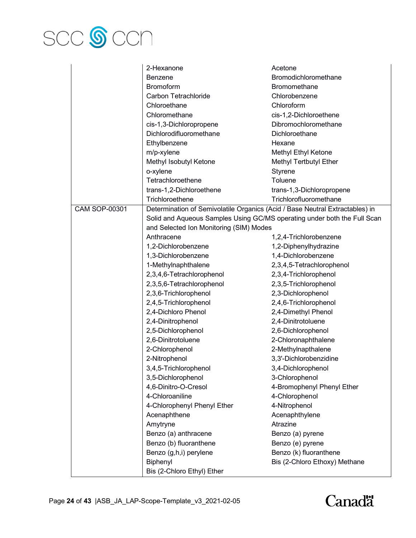

|                      | 2-Hexanone                                                                   | Acetone                       |  |
|----------------------|------------------------------------------------------------------------------|-------------------------------|--|
|                      | <b>Benzene</b>                                                               | <b>Bromodichloromethane</b>   |  |
|                      | <b>Bromoform</b>                                                             | Bromomethane                  |  |
|                      | Carbon Tetrachloride                                                         | Chlorobenzene                 |  |
|                      | Chloroethane                                                                 | Chloroform                    |  |
|                      | Chloromethane                                                                | cis-1,2-Dichloroethene        |  |
|                      | cis-1,3-Dichloropropene                                                      | Dibromochloromethane          |  |
|                      | Dichlorodifluoromethane                                                      | Dichloroethane                |  |
|                      | Ethylbenzene                                                                 | Hexane                        |  |
|                      | m/p-xylene                                                                   | Methyl Ethyl Ketone           |  |
|                      | Methyl Isobutyl Ketone                                                       | Methyl Tertbutyl Ether        |  |
|                      | o-xylene                                                                     | Styrene                       |  |
|                      | Tetrachloroethene                                                            | Toluene                       |  |
|                      | trans-1,2-Dichloroethene                                                     | trans-1,3-Dichloropropene     |  |
|                      | Trichloroethene                                                              | Trichlorofluoromethane        |  |
| <b>CAM SOP-00301</b> | Determination of Semivolatile Organics (Acid / Base Neutral Extractables) in |                               |  |
|                      | Solid and Aqueous Samples Using GC/MS operating under both the Full Scan     |                               |  |
|                      | and Selected Ion Monitoring (SIM) Modes                                      |                               |  |
|                      | Anthracene                                                                   | 1,2,4-Trichlorobenzene        |  |
|                      | 1,2-Dichlorobenzene                                                          | 1,2-Diphenylhydrazine         |  |
|                      | 1,3-Dichlorobenzene                                                          | 1,4-Dichlorobenzene           |  |
|                      | 1-Methylnaphthalene                                                          | 2,3,4,5-Tetrachlorophenol     |  |
|                      | 2,3,4,6-Tetrachlorophenol                                                    | 2,3,4-Trichlorophenol         |  |
|                      | 2,3,5,6-Tetrachlorophenol                                                    | 2,3,5-Trichlorophenol         |  |
|                      | 2,3,6-Trichlorophenol                                                        | 2,3-Dichlorophenol            |  |
|                      | 2,4,5-Trichlorophenol                                                        | 2,4,6-Trichlorophenol         |  |
|                      | 2,4-Dichloro Phenol                                                          | 2,4-Dimethyl Phenol           |  |
|                      | 2,4-Dinitrophenol                                                            | 2,4-Dinitrotoluene            |  |
|                      | 2,5-Dichlorophenol                                                           | 2,6-Dichlorophenol            |  |
|                      | 2,6-Dinitrotoluene                                                           | 2-Chloronaphthalene           |  |
|                      | 2-Chlorophenol                                                               | 2-Methylnapthalene            |  |
|                      | 2-Nitrophenol                                                                | 3,3'-Dichlorobenzidine        |  |
|                      | 3,4,5-Trichlorophenol                                                        | 3,4-Dichlorophenol            |  |
|                      | 3,5-Dichlorophenol                                                           | 3-Chlorophenol                |  |
|                      | 4,6-Dinitro-O-Cresol                                                         | 4-Bromophenyl Phenyl Ether    |  |
|                      | 4-Chloroaniline                                                              | 4-Chlorophenol                |  |
|                      | 4-Chlorophenyl Phenyl Ether                                                  | 4-Nitrophenol                 |  |
|                      | Acenaphthene                                                                 | Acenaphthylene                |  |
|                      | Amytryne                                                                     | Atrazine                      |  |
|                      | Benzo (a) anthracene                                                         | Benzo (a) pyrene              |  |
|                      | Benzo (b) fluoranthene                                                       | Benzo (e) pyrene              |  |
|                      | Benzo (g,h,i) perylene                                                       | Benzo (k) fluoranthene        |  |
|                      | Biphenyl                                                                     | Bis (2-Chloro Ethoxy) Methane |  |
|                      | Bis (2-Chloro Ethyl) Ether                                                   |                               |  |

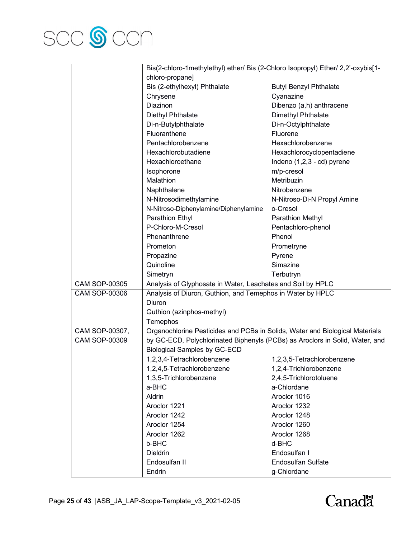

|                      | Bis(2-chloro-1methylethyl) ether/ Bis (2-Chloro Isopropyl) Ether/ 2,2'-oxybis[1- |                                          |  |
|----------------------|----------------------------------------------------------------------------------|------------------------------------------|--|
|                      | chloro-propane]                                                                  |                                          |  |
|                      | Bis (2-ethylhexyl) Phthalate                                                     | <b>Butyl Benzyl Phthalate</b>            |  |
|                      | Chrysene                                                                         | Cyanazine                                |  |
|                      | Diazinon                                                                         | Dibenzo (a,h) anthracene                 |  |
|                      | Diethyl Phthalate                                                                | Dimethyl Phthalate                       |  |
|                      | Di-n-Butylphthalate                                                              | Di-n-Octylphthalate                      |  |
|                      | Fluoranthene                                                                     |                                          |  |
|                      |                                                                                  | Fluorene                                 |  |
|                      | Pentachlorobenzene                                                               | Hexachlorobenzene                        |  |
|                      | Hexachlorobutadiene                                                              | Hexachlorocyclopentadiene                |  |
|                      | Hexachloroethane                                                                 | Indeno (1,2,3 - cd) pyrene               |  |
|                      | Isophorone                                                                       | m/p-cresol                               |  |
|                      | Malathion                                                                        | Metribuzin                               |  |
|                      | Naphthalene                                                                      | Nitrobenzene                             |  |
|                      | N-Nitrosodimethylamine                                                           | N-Nitroso-Di-N Propyl Amine              |  |
|                      | N-Nitroso-Diphenylamine/Diphenylamine                                            | o-Cresol                                 |  |
|                      | Parathion Ethyl                                                                  | Parathion Methyl                         |  |
|                      | P-Chloro-M-Cresol                                                                | Pentachloro-phenol                       |  |
|                      | Phenanthrene                                                                     | Phenol                                   |  |
|                      | Prometon                                                                         | Prometryne                               |  |
|                      | Propazine                                                                        | Pyrene                                   |  |
|                      | Quinoline                                                                        | Simazine                                 |  |
|                      | Simetryn                                                                         | Terbutryn                                |  |
| <b>CAM SOP-00305</b> | Analysis of Glyphosate in Water, Leachates and Soil by HPLC                      |                                          |  |
| <b>CAM SOP-00306</b> | Analysis of Diuron, Guthion, and Temephos in Water by HPLC                       |                                          |  |
|                      | Diuron                                                                           |                                          |  |
|                      | Guthion (azinphos-methyl)                                                        |                                          |  |
|                      | Temephos                                                                         |                                          |  |
| CAM SOP-00307,       | Organochlorine Pesticides and PCBs in Solids, Water and Biological Materials     |                                          |  |
| <b>CAM SOP-00309</b> | by GC-ECD, Polychlorinated Biphenyls (PCBs) as Aroclors in Solid, Water, and     |                                          |  |
|                      | <b>Biological Samples by GC-ECD</b>                                              |                                          |  |
|                      | 1,2,3,4-Tetrachlorobenzene                                                       | 1,2,3,5-Tetrachlorobenzene               |  |
|                      | 1,2,4,5-Tetrachlorobenzene                                                       | 1,2,4-Trichlorobenzene                   |  |
|                      | 1,3,5-Trichlorobenzene                                                           | 2,4,5-Trichlorotoluene                   |  |
|                      | a-BHC                                                                            | a-Chlordane                              |  |
|                      | Aldrin                                                                           | Aroclor 1016                             |  |
|                      | Aroclor 1221                                                                     | Aroclor 1232                             |  |
|                      | Aroclor 1242                                                                     | Aroclor 1248                             |  |
|                      | Aroclor 1254                                                                     |                                          |  |
|                      |                                                                                  | Aroclor 1260                             |  |
|                      | Aroclor 1262                                                                     | Aroclor 1268                             |  |
|                      |                                                                                  |                                          |  |
|                      | b-BHC                                                                            | d-BHC                                    |  |
|                      | Dieldrin                                                                         | Endosulfan I                             |  |
|                      | Endosulfan II<br>Endrin                                                          | <b>Endosulfan Sulfate</b><br>g-Chlordane |  |

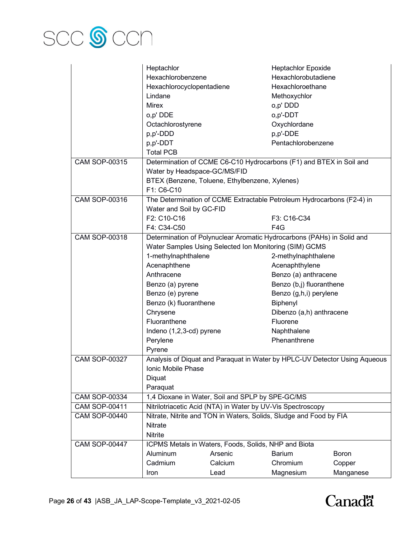

|                      | Heptachlor                   |                                                             | <b>Heptachlor Epoxide</b>                                                  |              |
|----------------------|------------------------------|-------------------------------------------------------------|----------------------------------------------------------------------------|--------------|
|                      | Hexachlorobenzene            |                                                             | Hexachlorobutadiene                                                        |              |
|                      | Hexachlorocyclopentadiene    |                                                             | Hexachloroethane                                                           |              |
|                      | Lindane                      |                                                             | Methoxychlor                                                               |              |
|                      | <b>Mirex</b>                 |                                                             | o,p' DDD                                                                   |              |
|                      | o,p' DDE                     |                                                             | o,p'-DDT                                                                   |              |
|                      | Octachlorostyrene            |                                                             | Oxychlordane                                                               |              |
|                      | p,p'-DDD                     |                                                             | p,p'-DDE                                                                   |              |
|                      | p,p'-DDT                     |                                                             | Pentachlorobenzene                                                         |              |
|                      | <b>Total PCB</b>             |                                                             |                                                                            |              |
| <b>CAM SOP-00315</b> |                              |                                                             | Determination of CCME C6-C10 Hydrocarbons (F1) and BTEX in Soil and        |              |
|                      | Water by Headspace-GC/MS/FID |                                                             |                                                                            |              |
|                      |                              | BTEX (Benzene, Toluene, Ethylbenzene, Xylenes)              |                                                                            |              |
|                      | F1: C6-C10                   |                                                             |                                                                            |              |
| <b>CAM SOP-00316</b> |                              |                                                             | The Determination of CCME Extractable Petroleum Hydrocarbons (F2-4) in     |              |
|                      | Water and Soil by GC-FID     |                                                             |                                                                            |              |
|                      | F2: C10-C16                  |                                                             | F3: C16-C34                                                                |              |
|                      | F4: C34-C50                  |                                                             | F4G                                                                        |              |
| <b>CAM SOP-00318</b> |                              |                                                             | Determination of Polynuclear Aromatic Hydrocarbons (PAHs) in Solid and     |              |
|                      |                              | Water Samples Using Selected Ion Monitoring (SIM) GCMS      |                                                                            |              |
|                      | 1-methylnaphthalene          |                                                             | 2-methylnaphthalene                                                        |              |
|                      | Acenaphthene                 |                                                             | Acenaphthylene                                                             |              |
|                      | Anthracene                   |                                                             | Benzo (a) anthracene                                                       |              |
|                      | Benzo (a) pyrene             |                                                             | Benzo (b,j) fluoranthene                                                   |              |
|                      | Benzo (e) pyrene             |                                                             | Benzo (g,h,i) perylene                                                     |              |
|                      | Benzo (k) fluoranthene       |                                                             | Biphenyl                                                                   |              |
|                      | Chrysene                     |                                                             | Dibenzo (a,h) anthracene                                                   |              |
|                      | Fluoranthene                 |                                                             | Fluorene                                                                   |              |
|                      | Indeno (1,2,3-cd) pyrene     |                                                             | Naphthalene                                                                |              |
|                      | Perylene                     |                                                             | Phenanthrene                                                               |              |
|                      | Pyrene                       |                                                             |                                                                            |              |
| <b>CAM SOP-00327</b> |                              |                                                             | Analysis of Diquat and Paraquat in Water by HPLC-UV Detector Using Aqueous |              |
|                      | Ionic Mobile Phase           |                                                             |                                                                            |              |
|                      | Diquat                       |                                                             |                                                                            |              |
|                      | Paraquat                     |                                                             |                                                                            |              |
| <b>CAM SOP-00334</b> |                              | 1,4 Dioxane in Water, Soil and SPLP by SPE-GC/MS            |                                                                            |              |
| <b>CAM SOP-00411</b> |                              | Nitrilotriacetic Acid (NTA) in Water by UV-Vis Spectroscopy |                                                                            |              |
| <b>CAM SOP-00440</b> |                              |                                                             | Nitrate, Nitrite and TON in Waters, Solids, Sludge and Food by FIA         |              |
|                      | Nitrate                      |                                                             |                                                                            |              |
|                      | Nitrite                      |                                                             |                                                                            |              |
| <b>CAM SOP-00447</b> |                              | ICPMS Metals in Waters, Foods, Solids, NHP and Biota        |                                                                            |              |
|                      | Aluminum                     | Arsenic                                                     | <b>Barium</b>                                                              | <b>Boron</b> |
|                      | Cadmium                      | Calcium                                                     | Chromium                                                                   | Copper       |
|                      | Iron                         | Lead                                                        | Magnesium                                                                  | Manganese    |

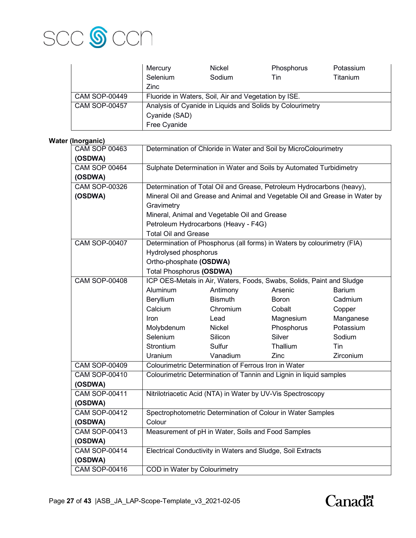

|                      | Mercury                                                   | Nickel | Phosphorus | Potassium |
|----------------------|-----------------------------------------------------------|--------|------------|-----------|
|                      | Selenium                                                  | Sodium | Tin        | Titanium  |
|                      | Zinc                                                      |        |            |           |
| <b>CAM SOP-00449</b> | Fluoride in Waters, Soil, Air and Vegetation by ISE.      |        |            |           |
| <b>CAM SOP-00457</b> | Analysis of Cyanide in Liquids and Solids by Colourimetry |        |            |           |
|                      | Cyanide (SAD)                                             |        |            |           |
|                      | Free Cyanide                                              |        |            |           |

## **Water (Inorganic)**

| 11101 yan 107                   |                                                                       |                                                                            |                                                                         |               |  |  |
|---------------------------------|-----------------------------------------------------------------------|----------------------------------------------------------------------------|-------------------------------------------------------------------------|---------------|--|--|
| <b>CAM SOP 00463</b><br>(OSDWA) | Determination of Chloride in Water and Soil by MicroColourimetry      |                                                                            |                                                                         |               |  |  |
| <b>CAM SOP 00464</b>            |                                                                       |                                                                            |                                                                         |               |  |  |
|                                 | Sulphate Determination in Water and Soils by Automated Turbidimetry   |                                                                            |                                                                         |               |  |  |
| (OSDWA)<br><b>CAM SOP-00326</b> |                                                                       | Determination of Total Oil and Grease, Petroleum Hydrocarbons (heavy),     |                                                                         |               |  |  |
|                                 |                                                                       |                                                                            |                                                                         |               |  |  |
| (OSDWA)                         |                                                                       | Mineral Oil and Grease and Animal and Vegetable Oil and Grease in Water by |                                                                         |               |  |  |
|                                 | Gravimetry                                                            |                                                                            |                                                                         |               |  |  |
|                                 |                                                                       | Mineral, Animal and Vegetable Oil and Grease                               |                                                                         |               |  |  |
|                                 |                                                                       | Petroleum Hydrocarbons (Heavy - F4G)                                       |                                                                         |               |  |  |
|                                 | <b>Total Oil and Grease</b>                                           |                                                                            |                                                                         |               |  |  |
| <b>CAM SOP-00407</b>            |                                                                       |                                                                            | Determination of Phosphorus (all forms) in Waters by colourimetry (FIA) |               |  |  |
|                                 | Hydrolysed phosphorus                                                 |                                                                            |                                                                         |               |  |  |
|                                 | Ortho-phosphate (OSDWA)                                               |                                                                            |                                                                         |               |  |  |
|                                 | <b>Total Phosphorus (OSDWA)</b>                                       |                                                                            |                                                                         |               |  |  |
| <b>CAM SOP-00408</b>            | ICP OES-Metals in Air, Waters, Foods, Swabs, Solids, Paint and Sludge |                                                                            |                                                                         |               |  |  |
|                                 | <b>Aluminum</b>                                                       | Antimony                                                                   | Arsenic                                                                 | <b>Barium</b> |  |  |
|                                 | Beryllium                                                             | <b>Bismuth</b>                                                             | <b>Boron</b>                                                            | Cadmium       |  |  |
|                                 | Calcium                                                               | Chromium                                                                   | Cobalt                                                                  | Copper        |  |  |
|                                 | Iron                                                                  | Lead                                                                       | Magnesium                                                               | Manganese     |  |  |
|                                 | Molybdenum                                                            | Nickel                                                                     | Phosphorus                                                              | Potassium     |  |  |
|                                 | Selenium                                                              | Silicon                                                                    | Silver                                                                  | Sodium        |  |  |
|                                 | Strontium                                                             | Sulfur                                                                     | Thallium                                                                | Tin           |  |  |
|                                 | Uranium                                                               | Vanadium                                                                   | Zinc                                                                    | Zirconium     |  |  |
| <b>CAM SOP-00409</b>            |                                                                       | Colourimetric Determination of Ferrous Iron in Water                       |                                                                         |               |  |  |
| <b>CAM SOP-00410</b>            |                                                                       |                                                                            | Colourimetric Determination of Tannin and Lignin in liquid samples      |               |  |  |
| (OSDWA)                         |                                                                       |                                                                            |                                                                         |               |  |  |
| <b>CAM SOP-00411</b>            |                                                                       |                                                                            | Nitrilotriacetic Acid (NTA) in Water by UV-Vis Spectroscopy             |               |  |  |
| (OSDWA)                         |                                                                       |                                                                            |                                                                         |               |  |  |
| <b>CAM SOP-00412</b>            |                                                                       |                                                                            | Spectrophotometric Determination of Colour in Water Samples             |               |  |  |
| (OSDWA)                         | Colour                                                                |                                                                            |                                                                         |               |  |  |
| <b>CAM SOP-00413</b>            |                                                                       | Measurement of pH in Water, Soils and Food Samples                         |                                                                         |               |  |  |
| (OSDWA)                         |                                                                       |                                                                            |                                                                         |               |  |  |
| <b>CAM SOP-00414</b>            |                                                                       |                                                                            | Electrical Conductivity in Waters and Sludge, Soil Extracts             |               |  |  |
| (OSDWA)                         |                                                                       |                                                                            |                                                                         |               |  |  |
| <b>CAM SOP-00416</b>            |                                                                       |                                                                            | COD in Water by Colourimetry                                            |               |  |  |

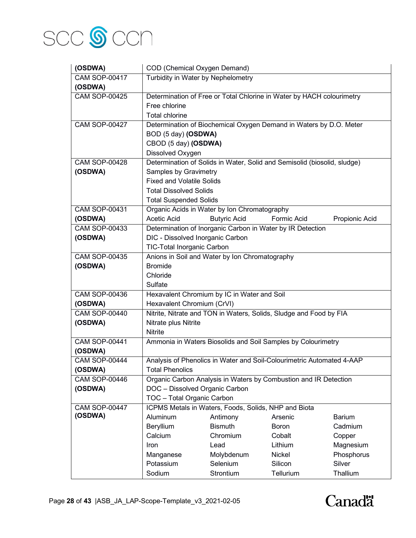

| (OSDWA)                         | COD (Chemical Oxygen Demand)                                                                     |                                                      |                                                                          |                |  |
|---------------------------------|--------------------------------------------------------------------------------------------------|------------------------------------------------------|--------------------------------------------------------------------------|----------------|--|
| <b>CAM SOP-00417</b>            | Turbidity in Water by Nephelometry                                                               |                                                      |                                                                          |                |  |
| (OSDWA)                         |                                                                                                  |                                                      |                                                                          |                |  |
| <b>CAM SOP-00425</b>            | Determination of Free or Total Chlorine in Water by HACH colourimetry                            |                                                      |                                                                          |                |  |
|                                 | Free chlorine                                                                                    |                                                      |                                                                          |                |  |
|                                 | <b>Total chlorine</b>                                                                            |                                                      |                                                                          |                |  |
| <b>CAM SOP-00427</b>            |                                                                                                  |                                                      | Determination of Biochemical Oxygen Demand in Waters by D.O. Meter       |                |  |
|                                 | BOD (5 day) (OSDWA)                                                                              |                                                      |                                                                          |                |  |
|                                 | CBOD (5 day) (OSDWA)                                                                             |                                                      |                                                                          |                |  |
|                                 | Dissolved Oxygen                                                                                 |                                                      |                                                                          |                |  |
| <b>CAM SOP-00428</b>            |                                                                                                  |                                                      | Determination of Solids in Water, Solid and Semisolid (biosolid, sludge) |                |  |
| (OSDWA)                         | Samples by Gravimetry                                                                            |                                                      |                                                                          |                |  |
|                                 | <b>Fixed and Volatile Solids</b>                                                                 |                                                      |                                                                          |                |  |
|                                 | <b>Total Dissolved Solids</b>                                                                    |                                                      |                                                                          |                |  |
|                                 | <b>Total Suspended Solids</b>                                                                    |                                                      |                                                                          |                |  |
| <b>CAM SOP-00431</b>            |                                                                                                  | Organic Acids in Water by Ion Chromatography         |                                                                          |                |  |
| (OSDWA)                         | <b>Acetic Acid</b>                                                                               | <b>Butyric Acid</b>                                  | Formic Acid                                                              | Propionic Acid |  |
| <b>CAM SOP-00433</b>            |                                                                                                  |                                                      | Determination of Inorganic Carbon in Water by IR Detection               |                |  |
| (OSDWA)                         | DIC - Dissolved Inorganic Carbon                                                                 |                                                      |                                                                          |                |  |
|                                 | TIC-Total Inorganic Carbon                                                                       |                                                      |                                                                          |                |  |
| <b>CAM SOP-00435</b>            | Anions in Soil and Water by Ion Chromatography                                                   |                                                      |                                                                          |                |  |
| (OSDWA)                         | <b>Bromide</b>                                                                                   |                                                      |                                                                          |                |  |
|                                 | Chloride                                                                                         |                                                      |                                                                          |                |  |
|                                 | Sulfate                                                                                          |                                                      |                                                                          |                |  |
| <b>CAM SOP-00436</b>            |                                                                                                  | Hexavalent Chromium by IC in Water and Soil          |                                                                          |                |  |
| (OSDWA)<br><b>CAM SOP-00440</b> | Hexavalent Chromium (CrVI)<br>Nitrite, Nitrate and TON in Waters, Solids, Sludge and Food by FIA |                                                      |                                                                          |                |  |
|                                 |                                                                                                  |                                                      |                                                                          |                |  |
| (OSDWA)                         | Nitrate plus Nitrite<br><b>Nitrite</b>                                                           |                                                      |                                                                          |                |  |
| <b>CAM SOP-00441</b>            | Ammonia in Waters Biosolids and Soil Samples by Colourimetry                                     |                                                      |                                                                          |                |  |
| (OSDWA)                         |                                                                                                  |                                                      |                                                                          |                |  |
| <b>CAM SOP-00444</b>            | Analysis of Phenolics in Water and Soil-Colourimetric Automated 4-AAP                            |                                                      |                                                                          |                |  |
| (OSDWA)                         | <b>Total Phenolics</b>                                                                           |                                                      |                                                                          |                |  |
| <b>CAM SOP-00446</b>            | Organic Carbon Analysis in Waters by Combustion and IR Detection                                 |                                                      |                                                                          |                |  |
| (OSDWA)                         | DOC - Dissolved Organic Carbon                                                                   |                                                      |                                                                          |                |  |
|                                 | TOC - Total Organic Carbon                                                                       |                                                      |                                                                          |                |  |
| <b>CAM SOP-00447</b>            |                                                                                                  | ICPMS Metals in Waters, Foods, Solids, NHP and Biota |                                                                          |                |  |
| (OSDWA)                         | Aluminum                                                                                         | Antimony                                             | Arsenic                                                                  | <b>Barium</b>  |  |
|                                 | Beryllium                                                                                        | <b>Bismuth</b>                                       | Boron                                                                    | Cadmium        |  |
|                                 | Calcium                                                                                          | Chromium                                             | Cobalt                                                                   | Copper         |  |
|                                 | Iron                                                                                             | Lead                                                 | Lithium                                                                  | Magnesium      |  |
|                                 | Manganese                                                                                        | Molybdenum                                           | Nickel                                                                   | Phosphorus     |  |
|                                 | Potassium                                                                                        | Selenium                                             | Silicon                                                                  | Silver         |  |
|                                 | Sodium                                                                                           | Strontium                                            | Tellurium                                                                | Thallium       |  |

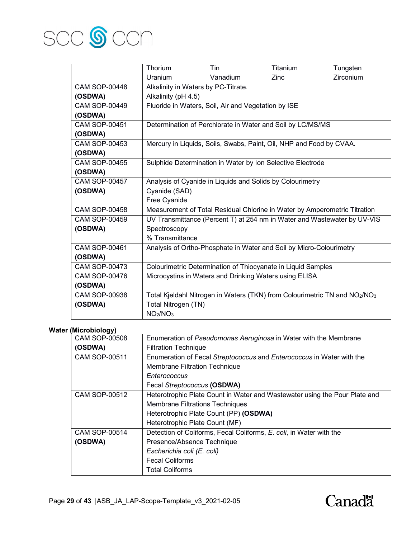

|                      | <b>Thorium</b>                                                            | <b>Tin</b>                                          | Titanium                                                                                           | Tungsten  |
|----------------------|---------------------------------------------------------------------------|-----------------------------------------------------|----------------------------------------------------------------------------------------------------|-----------|
|                      | <b>Uranium</b>                                                            | Vanadium                                            | Zinc                                                                                               | Zirconium |
| <b>CAM SOP-00448</b> | Alkalinity in Waters by PC-Titrate.                                       |                                                     |                                                                                                    |           |
| (OSDWA)              | Alkalinity (pH 4.5)                                                       |                                                     |                                                                                                    |           |
| <b>CAM SOP-00449</b> |                                                                           | Fluoride in Waters, Soil, Air and Vegetation by ISE |                                                                                                    |           |
| (OSDWA)              |                                                                           |                                                     |                                                                                                    |           |
| <b>CAM SOP-00451</b> |                                                                           |                                                     | Determination of Perchlorate in Water and Soil by LC/MS/MS                                         |           |
| (OSDWA)              |                                                                           |                                                     |                                                                                                    |           |
| <b>CAM SOP-00453</b> |                                                                           |                                                     | Mercury in Liquids, Soils, Swabs, Paint, Oil, NHP and Food by CVAA.                                |           |
| (OSDWA)              |                                                                           |                                                     |                                                                                                    |           |
| <b>CAM SOP-00455</b> |                                                                           |                                                     | Sulphide Determination in Water by Ion Selective Electrode                                         |           |
| (OSDWA)              |                                                                           |                                                     |                                                                                                    |           |
| <b>CAM SOP-00457</b> | Analysis of Cyanide in Liquids and Solids by Colourimetry                 |                                                     |                                                                                                    |           |
| (OSDWA)              | Cyanide (SAD)                                                             |                                                     |                                                                                                    |           |
|                      | Free Cyanide                                                              |                                                     |                                                                                                    |           |
| <b>CAM SOP-00458</b> | Measurement of Total Residual Chlorine in Water by Amperometric Titration |                                                     |                                                                                                    |           |
| <b>CAM SOP-00459</b> | UV Transmittance (Percent T) at 254 nm in Water and Wastewater by UV-VIS  |                                                     |                                                                                                    |           |
| (OSDWA)              | Spectroscopy                                                              |                                                     |                                                                                                    |           |
|                      | % Transmittance                                                           |                                                     |                                                                                                    |           |
| <b>CAM SOP-00461</b> | Analysis of Ortho-Phosphate in Water and Soil by Micro-Colourimetry       |                                                     |                                                                                                    |           |
| (OSDWA)              |                                                                           |                                                     |                                                                                                    |           |
| <b>CAM SOP-00473</b> |                                                                           |                                                     | Colourimetric Determination of Thiocyanate in Liquid Samples                                       |           |
| <b>CAM SOP-00476</b> |                                                                           |                                                     | Microcystins in Waters and Drinking Waters using ELISA                                             |           |
| (OSDWA)              |                                                                           |                                                     |                                                                                                    |           |
| <b>CAM SOP-00938</b> |                                                                           |                                                     | Total Kjeldahl Nitrogen in Waters (TKN) from Colourimetric TN and NO <sub>2</sub> /NO <sub>3</sub> |           |
| (OSDWA)              | Total Nitrogen (TN)                                                       |                                                     |                                                                                                    |           |
|                      | NO <sub>2</sub> /NO <sub>3</sub>                                          |                                                     |                                                                                                    |           |

## **Water (Microbiology)**

| <b>CAM SOP-00508</b> | Enumeration of Pseudomonas Aeruginosa in Water with the Membrane           |
|----------------------|----------------------------------------------------------------------------|
| (OSDWA)              | <b>Filtration Technique</b>                                                |
| <b>CAM SOP-00511</b> | Enumeration of Fecal Streptococcus and Enterococcus in Water with the      |
|                      | <b>Membrane Filtration Technique</b>                                       |
|                      | Enterococcus                                                               |
|                      | Fecal Streptococcus (OSDWA)                                                |
| <b>CAM SOP-00512</b> | Heterotrophic Plate Count in Water and Wastewater using the Pour Plate and |
|                      | <b>Membrane Filtrations Techniques</b>                                     |
|                      | Heterotrophic Plate Count (PP) (OSDWA)                                     |
|                      | Heterotrophic Plate Count (MF)                                             |
| CAM SOP-00514        | Detection of Coliforms, Fecal Coliforms, E. coli, in Water with the        |
| (OSDWA)              | Presence/Absence Technique                                                 |
|                      | Escherichia coli (E. coli)                                                 |
|                      | <b>Fecal Coliforms</b>                                                     |
|                      | <b>Total Coliforms</b>                                                     |
|                      |                                                                            |

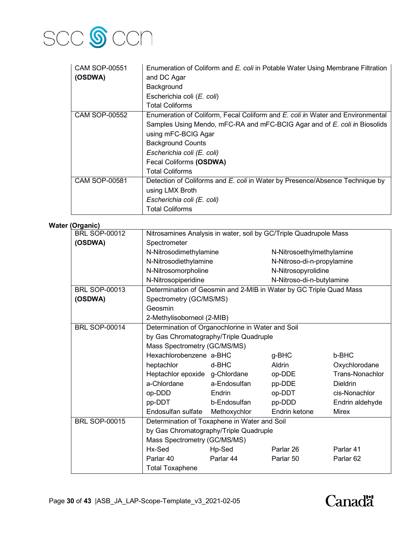

| <b>CAM SOP-00551</b> | Enumeration of Coliform and E. coli in Potable Water Using Membrane Filtration |  |  |  |
|----------------------|--------------------------------------------------------------------------------|--|--|--|
| (OSDWA)              | and DC Agar                                                                    |  |  |  |
|                      | Background                                                                     |  |  |  |
|                      | Escherichia coli (E. coli)                                                     |  |  |  |
|                      | <b>Total Coliforms</b>                                                         |  |  |  |
| <b>CAM SOP-00552</b> | Enumeration of Coliform, Fecal Coliform and E. coli in Water and Environmental |  |  |  |
|                      | Samples Using Mendo, mFC-RA and mFC-BCIG Agar and of E. coli in Biosolids      |  |  |  |
|                      | using mFC-BCIG Agar                                                            |  |  |  |
|                      | <b>Background Counts</b>                                                       |  |  |  |
|                      | Escherichia coli (E. coli)                                                     |  |  |  |
|                      | Fecal Coliforms (OSDWA)                                                        |  |  |  |
|                      | Total Coliforms                                                                |  |  |  |
| <b>CAM SOP-00581</b> | Detection of Coliforms and E. coli in Water by Presence/Absence Technique by   |  |  |  |
|                      | using LMX Broth                                                                |  |  |  |
|                      | Escherichia coli (E. coli)                                                     |  |  |  |
|                      | <b>Total Coliforms</b>                                                         |  |  |  |

## **Water (Organic)**

| organio,             |                                                                    |                        |                            |                           |  |
|----------------------|--------------------------------------------------------------------|------------------------|----------------------------|---------------------------|--|
| <b>BRL SOP-00012</b> | Nitrosamines Analysis in water, soil by GC/Triple Quadrupole Mass  |                        |                            |                           |  |
| (OSDWA)              | Spectrometer                                                       |                        |                            |                           |  |
|                      |                                                                    | N-Nitrosodimethylamine |                            | N-Nitrosoethylmethylamine |  |
|                      | N-Nitrosodiethylamine                                              |                        | N-Nitroso-di-n-propylamine |                           |  |
|                      | N-Nitrosomorpholine                                                |                        | N-Nitrosopyrolidine        |                           |  |
|                      | N-Nitrosopiperidine                                                |                        | N-Nitroso-di-n-butylamine  |                           |  |
| <b>BRL SOP-00013</b> | Determination of Geosmin and 2-MIB in Water by GC Triple Quad Mass |                        |                            |                           |  |
| (OSDWA)              | Spectrometry (GC/MS/MS)                                            |                        |                            |                           |  |
|                      | Geosmin                                                            |                        |                            |                           |  |
|                      | 2-Methylisoborneol (2-MIB)                                         |                        |                            |                           |  |
| <b>BRL SOP-00014</b> | Determination of Organochlorine in Water and Soil                  |                        |                            |                           |  |
|                      | by Gas Chromatography/Triple Quadruple                             |                        |                            |                           |  |
|                      | Mass Spectrometry (GC/MS/MS)                                       |                        |                            |                           |  |
|                      | Hexachlorobenzene a-BHC                                            |                        | g-BHC                      | b-BHC                     |  |
|                      | heptachlor                                                         | d-BHC                  | <b>Aldrin</b>              | Oxychlorodane             |  |
|                      | Heptachlor epoxide g-Chlordane                                     |                        | op-DDE                     | Trans-Nonachlor           |  |
|                      | a-Chlordane                                                        | a-Endosulfan           | pp-DDE                     | <b>Dieldrin</b>           |  |
|                      | op-DDD                                                             | Endrin                 | op-DDT                     | cis-Nonachlor             |  |
|                      | pp-DDT                                                             | b-Endosulfan           | pp-DDD                     | Endrin aldehyde           |  |
|                      | Endosulfan sulfate                                                 | Methoxychlor           | Endrin ketone              | <b>Mirex</b>              |  |
| <b>BRL SOP-00015</b> | Determination of Toxaphene in Water and Soil                       |                        |                            |                           |  |
|                      | by Gas Chromatography/Triple Quadruple                             |                        |                            |                           |  |
|                      | Mass Spectrometry (GC/MS/MS)                                       |                        |                            |                           |  |
|                      | Hx-Sed                                                             | Hp-Sed                 | Parlar 26                  | Parlar 41                 |  |
|                      | Parlar 40                                                          | Parlar 44              | Parlar 50                  | Parlar <sub>62</sub>      |  |
|                      | <b>Total Toxaphene</b>                                             |                        |                            |                           |  |

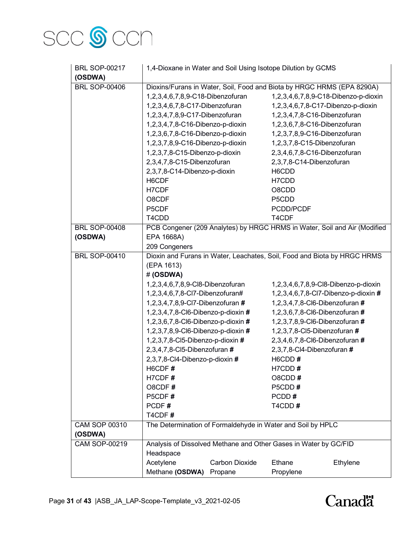

| <b>BRL SOP-00217</b> | 1,4-Dioxane in Water and Soil Using Isotope Dilution by GCMS             |                       |                                |                                                                           |
|----------------------|--------------------------------------------------------------------------|-----------------------|--------------------------------|---------------------------------------------------------------------------|
| (OSDWA)              |                                                                          |                       |                                |                                                                           |
| <b>BRL SOP-00406</b> | Dioxins/Furans in Water, Soil, Food and Biota by HRGC HRMS (EPA 8290A)   |                       |                                |                                                                           |
|                      | 1,2,3,4,6,7,8,9-C18-Dibenzofuran                                         |                       |                                | 1,2,3,4,6,7,8,9-C18-Dibenzo-p-dioxin                                      |
|                      | 1,2,3,4,6,7,8-C17-Dibenzofuran                                           |                       |                                | 1,2,3,4,6,7,8-C17-Dibenzo-p-dioxin                                        |
|                      | 1,2,3,4,7,8,9-C17-Dibenzofuran                                           |                       | 1,2,3,4,7,8-C16-Dibenzofuran   |                                                                           |
|                      | 1,2,3,4,7,8-C16-Dibenzo-p-dioxin                                         |                       | 1,2,3,6,7,8-C16-Dibenzofuran   |                                                                           |
|                      | 1,2,3,6,7,8-C16-Dibenzo-p-dioxin                                         |                       | 1,2,3,7,8,9-C16-Dibenzofuran   |                                                                           |
|                      | 1,2,3,7,8,9-C16-Dibenzo-p-dioxin                                         |                       | 1,2,3,7,8-C15-Dibenzofuran     |                                                                           |
|                      | 1,2,3,7,8-C15-Dibenzo-p-dioxin                                           |                       | 2,3,4,6,7,8-C16-Dibenzofuran   |                                                                           |
|                      | 2,3,4,7,8-C15-Dibenzofuran                                               |                       | 2,3,7,8-C14-Dibenzofuran       |                                                                           |
|                      | 2,3,7,8-C14-Dibenzo-p-dioxin                                             |                       | H6CDD                          |                                                                           |
|                      | H6CDF                                                                    |                       | H7CDD                          |                                                                           |
|                      | H7CDF                                                                    |                       | O8CDD                          |                                                                           |
|                      | O8CDF                                                                    |                       | P5CDD                          |                                                                           |
|                      | P5CDF                                                                    |                       | PCDD/PCDF                      |                                                                           |
|                      | T4CDD                                                                    |                       | T4CDF                          |                                                                           |
| <b>BRL SOP-00408</b> |                                                                          |                       |                                | PCB Congener (209 Analytes) by HRGC HRMS in Water, Soil and Air (Modified |
| (OSDWA)              | EPA 1668A)                                                               |                       |                                |                                                                           |
|                      | 209 Congeners                                                            |                       |                                |                                                                           |
| <b>BRL SOP-00410</b> | Dioxin and Furans in Water, Leachates, Soil, Food and Biota by HRGC HRMS |                       |                                |                                                                           |
|                      | (EPA 1613)                                                               |                       |                                |                                                                           |
|                      | #(OSDWA)                                                                 |                       |                                |                                                                           |
|                      | 1,2,3,4,6,7,8,9-Cl8-Dibenzofuran                                         |                       |                                | 1,2,3,4,6,7,8,9-Cl8-Dibenzo-p-dioxin                                      |
|                      | 1,2,3,4,6,7,8-Cl7-Dibenzofuran#                                          |                       |                                | 1,2,3,4,6,7,8-Cl7-Dibenzo-p-dioxin #                                      |
|                      | 1,2,3,4,7,8,9-Cl7-Dibenzofuran #                                         |                       | 1,2,3,4,7,8-Cl6-Dibenzofuran # |                                                                           |
|                      | 1,2,3,4,7,8-Cl6-Dibenzo-p-dioxin #                                       |                       | 1,2,3,6,7,8-Cl6-Dibenzofuran # |                                                                           |
|                      | 1,2,3,6,7,8-Cl6-Dibenzo-p-dioxin #                                       |                       | 1,2,3,7,8,9-Cl6-Dibenzofuran # |                                                                           |
|                      | 1,2,3,7,8,9-Cl6-Dibenzo-p-dioxin #                                       |                       | 1,2,3,7,8-Cl5-Dibenzofuran #   |                                                                           |
|                      | 1,2,3,7,8-Cl5-Dibenzo-p-dioxin #                                         |                       | 2,3,4,6,7,8-Cl6-Dibenzofuran # |                                                                           |
|                      | 2,3,4,7,8-Cl5-Dibenzofuran #                                             |                       | 2,3,7,8-Cl4-Dibenzofuran #     |                                                                           |
|                      | 2,3,7,8-Cl4-Dibenzo-p-dioxin #                                           |                       | H6CDD#                         |                                                                           |
|                      | H6CDF#                                                                   |                       | H7CDD#                         |                                                                           |
|                      | H7CDF#                                                                   |                       | O8CDD#                         |                                                                           |
|                      | O8CDF#                                                                   |                       | P5CDD#                         |                                                                           |
|                      | P5CDF#                                                                   |                       | PCDD#                          |                                                                           |
|                      | PCDF#                                                                    |                       | T4CDD#                         |                                                                           |
|                      | T4CDF#                                                                   |                       |                                |                                                                           |
| <b>CAM SOP 00310</b> | The Determination of Formaldehyde in Water and Soil by HPLC              |                       |                                |                                                                           |
| (OSDWA)              |                                                                          |                       |                                |                                                                           |
| <b>CAM SOP-00219</b> | Analysis of Dissolved Methane and Other Gases in Water by GC/FID         |                       |                                |                                                                           |
|                      | Headspace                                                                |                       |                                |                                                                           |
|                      | Acetylene                                                                | <b>Carbon Dioxide</b> | Ethane                         | Ethylene                                                                  |
|                      | Methane (OSDWA) Propane                                                  |                       | Propylene                      |                                                                           |

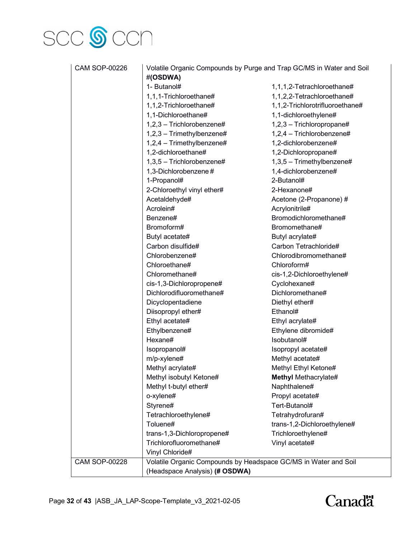

| <b>CAM SOP-00226</b> | Volatile Organic Compounds by Purge and Trap GC/MS in Water and Soil<br>#(OSDWA) |                                                                 |  |
|----------------------|----------------------------------------------------------------------------------|-----------------------------------------------------------------|--|
|                      | 1- Butanol#                                                                      | 1,1,1,2-Tetrachloroethane#                                      |  |
|                      | 1,1,1-Trichloroethane#                                                           | 1,1,2,2-Tetrachloroethane#                                      |  |
|                      | 1,1,2-Trichloroethane#                                                           | 1,1,2-Trichlorotrifluoroethane#                                 |  |
|                      | 1,1-Dichloroethane#                                                              | 1,1-dichloroethylene#                                           |  |
|                      | $1,2,3$ – Trichlorobenzene#                                                      | 1,2,3 - Trichloropropane#                                       |  |
|                      | $1,2,3$ - Trimethylbenzene#                                                      | 1,2,4 - Trichlorobenzene#                                       |  |
|                      | 1,2,4 - Trimethylbenzene#                                                        | 1,2-dichlorobenzene#                                            |  |
|                      | 1,2-dichloroethane#                                                              | 1,2-Dichloropropane#                                            |  |
|                      | 1,3,5 - Trichlorobenzene#                                                        | 1,3,5 - Trimethylbenzene#                                       |  |
|                      | 1,3-Dichlorobenzene#                                                             |                                                                 |  |
|                      |                                                                                  | 1,4-dichlorobenzene#<br>2-Butanol#                              |  |
|                      | 1-Propanol#                                                                      |                                                                 |  |
|                      | 2-Chloroethyl vinyl ether#                                                       | 2-Hexanone#                                                     |  |
|                      | Acetaldehyde#                                                                    | Acetone (2-Propanone) #                                         |  |
|                      | Acrolein#                                                                        | Acrylonitrile#                                                  |  |
|                      | Benzene#                                                                         | Bromodichloromethane#                                           |  |
|                      | Bromoform#                                                                       | Bromomethane#                                                   |  |
|                      | Butyl acetate#                                                                   | Butyl acrylate#                                                 |  |
|                      | Carbon disulfide#                                                                | Carbon Tetrachloride#                                           |  |
|                      | Chlorobenzene#                                                                   | Chlorodibromomethane#                                           |  |
|                      | Chloroethane#                                                                    | Chloroform#                                                     |  |
|                      | Chloromethane#                                                                   | cis-1,2-Dichloroethylene#                                       |  |
|                      | cis-1,3-Dichloropropene#                                                         | Cyclohexane#                                                    |  |
|                      | Dichlorodifluoromethane#                                                         | Dichloromethane#                                                |  |
|                      | Dicyclopentadiene                                                                | Diethyl ether#                                                  |  |
|                      | Diisopropyl ether#                                                               | Ethanol#                                                        |  |
|                      | Ethyl acetate#                                                                   | Ethyl acrylate#                                                 |  |
|                      | Ethylbenzene#                                                                    | Ethylene dibromide#                                             |  |
|                      | Hexane#                                                                          | Isobutanol#                                                     |  |
|                      | Isopropanol#                                                                     | Isopropyl acetate#                                              |  |
|                      | m/p-xylene#                                                                      | Methyl acetate#                                                 |  |
|                      | Methyl acrylate#                                                                 | Methyl Ethyl Ketone#                                            |  |
|                      | Methyl isobutyl Ketone#                                                          | <b>Methyl Methacrylate#</b>                                     |  |
|                      | Methyl t-butyl ether#                                                            | Naphthalene#                                                    |  |
|                      | o-xylene#                                                                        | Propyl acetate#                                                 |  |
|                      | Styrene#                                                                         | Tert-Butanol#                                                   |  |
|                      | Tetrachloroethylene#                                                             | Tetrahydrofuran#                                                |  |
|                      | Toluene#                                                                         | trans-1,2-Dichloroethylene#                                     |  |
|                      | trans-1,3-Dichloropropene#                                                       | Trichloroethylene#                                              |  |
|                      | Trichlorofluoromethane#                                                          | Vinyl acetate#                                                  |  |
|                      | Vinyl Chloride#                                                                  |                                                                 |  |
| <b>CAM SOP-00228</b> |                                                                                  | Volatile Organic Compounds by Headspace GC/MS in Water and Soil |  |
|                      | (Headspace Analysis) (# OSDWA)                                                   |                                                                 |  |

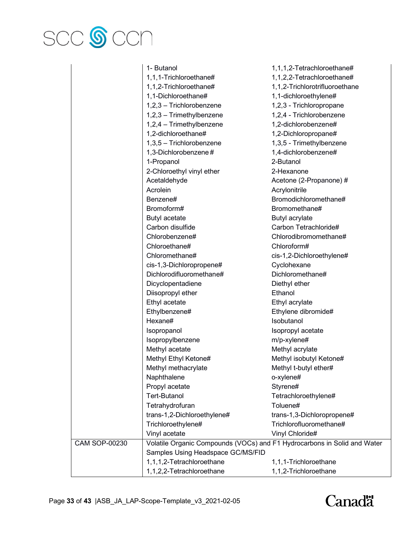

|               | 1- Butanol                                                               | 1,1,1,2-Tetrachloroethane#     |
|---------------|--------------------------------------------------------------------------|--------------------------------|
|               | 1,1,1-Trichloroethane#                                                   | 1,1,2,2-Tetrachloroethane#     |
|               | 1,1,2-Trichloroethane#                                                   | 1,1,2-Trichlorotrifluoroethane |
|               | 1,1-Dichloroethane#                                                      | 1,1-dichloroethylene#          |
|               | 1,2,3 - Trichlorobenzene                                                 | 1,2,3 - Trichloropropane       |
|               | 1,2,3 - Trimethylbenzene                                                 | 1,2,4 - Trichlorobenzene       |
|               | 1,2,4 - Trimethylbenzene                                                 | 1,2-dichlorobenzene#           |
|               | 1,2-dichloroethane#                                                      | 1,2-Dichloropropane#           |
|               | 1,3,5 - Trichlorobenzene                                                 | 1,3,5 - Trimethylbenzene       |
|               | 1,3-Dichlorobenzene#                                                     | 1,4-dichlorobenzene#           |
|               | 1-Propanol                                                               | 2-Butanol                      |
|               | 2-Chloroethyl vinyl ether                                                | 2-Hexanone                     |
|               | Acetaldehyde                                                             | Acetone (2-Propanone) #        |
|               | Acrolein                                                                 | Acrylonitrile                  |
|               | Benzene#                                                                 | Bromodichloromethane#          |
|               | Bromoform#                                                               | Bromomethane#                  |
|               | Butyl acetate                                                            | Butyl acrylate                 |
|               | Carbon disulfide                                                         | Carbon Tetrachloride#          |
|               | Chlorobenzene#                                                           | Chlorodibromomethane#          |
|               | Chloroethane#                                                            | Chloroform#                    |
|               | Chloromethane#                                                           | cis-1,2-Dichloroethylene#      |
|               | cis-1,3-Dichloropropene#                                                 | Cyclohexane                    |
|               | Dichlorodifluoromethane#                                                 | Dichloromethane#               |
|               | Dicyclopentadiene                                                        | Diethyl ether                  |
|               | Diisopropyl ether                                                        | Ethanol                        |
|               | Ethyl acetate                                                            | Ethyl acrylate                 |
|               | Ethylbenzene#                                                            | Ethylene dibromide#            |
|               | Hexane#                                                                  | Isobutanol                     |
|               | Isopropanol                                                              | Isopropyl acetate              |
|               | Isopropylbenzene                                                         | m/p-xylene#                    |
|               | Methyl acetate                                                           | Methyl acrylate                |
|               | Methyl Ethyl Ketone#                                                     | Methyl isobutyl Ketone#        |
|               | Methyl methacrylate                                                      | Methyl t-butyl ether#          |
|               | Naphthalene                                                              | o-xylene#                      |
|               | Propyl acetate                                                           | Styrene#                       |
|               | <b>Tert-Butanol</b>                                                      | Tetrachloroethylene#           |
|               | Tetrahydrofuran                                                          | Toluene#                       |
|               | trans-1,2-Dichloroethylene#                                              | trans-1,3-Dichloropropene#     |
|               | Trichloroethylene#                                                       | Trichlorofluoromethane#        |
|               | Vinyl acetate                                                            | Vinyl Chloride#                |
| CAM SOP-00230 | Volatile Organic Compounds (VOCs) and F1 Hydrocarbons in Solid and Water |                                |
|               | Samples Using Headspace GC/MS/FID                                        |                                |
|               | 1,1,1,2-Tetrachloroethane                                                | 1,1,1-Trichloroethane          |
|               | 1,1,2,2-Tetrachloroethane                                                | 1,1,2-Trichloroethane          |
|               |                                                                          |                                |

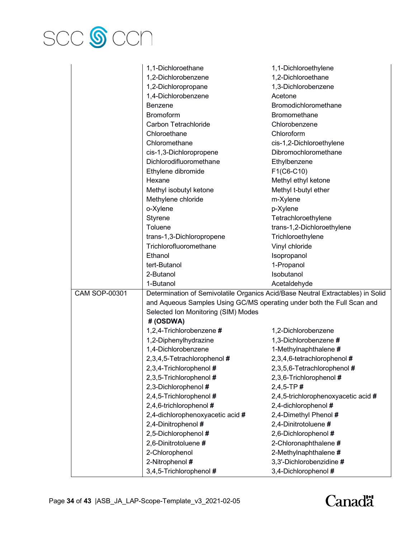

|                      | 1,1-Dichloroethane                                                                                            | 1,1-Dichloroethylene                |  |
|----------------------|---------------------------------------------------------------------------------------------------------------|-------------------------------------|--|
|                      | 1,2-Dichlorobenzene                                                                                           | 1,2-Dichloroethane                  |  |
|                      | 1,2-Dichloropropane                                                                                           | 1,3-Dichlorobenzene                 |  |
|                      | 1,4-Dichlorobenzene                                                                                           | Acetone                             |  |
|                      | Benzene                                                                                                       | Bromodichloromethane                |  |
|                      | <b>Bromoform</b>                                                                                              | <b>Bromomethane</b>                 |  |
|                      | Carbon Tetrachloride                                                                                          | Chlorobenzene                       |  |
|                      | Chloroethane                                                                                                  | Chloroform                          |  |
|                      | Chloromethane                                                                                                 | cis-1,2-Dichloroethylene            |  |
|                      | cis-1,3-Dichloropropene                                                                                       | Dibromochloromethane                |  |
|                      | Dichlorodifluoromethane                                                                                       | Ethylbenzene                        |  |
|                      |                                                                                                               |                                     |  |
|                      | Ethylene dibromide<br>Hexane                                                                                  | F1(C6-C10)                          |  |
|                      |                                                                                                               | Methyl ethyl ketone                 |  |
|                      | Methyl isobutyl ketone                                                                                        | Methyl t-butyl ether                |  |
|                      | Methylene chloride                                                                                            | m-Xylene                            |  |
|                      | o-Xylene                                                                                                      | p-Xylene                            |  |
|                      | Styrene                                                                                                       | Tetrachloroethylene                 |  |
|                      | Toluene                                                                                                       | trans-1,2-Dichloroethylene          |  |
|                      | trans-1,3-Dichloropropene                                                                                     | Trichloroethylene                   |  |
|                      | Trichlorofluoromethane                                                                                        | Vinyl chloride                      |  |
|                      | Ethanol                                                                                                       | Isopropanol                         |  |
|                      | tert-Butanol                                                                                                  | 1-Propanol                          |  |
|                      | 2-Butanol                                                                                                     | Isobutanol                          |  |
|                      | 1-Butanol                                                                                                     | Acetaldehyde                        |  |
| <b>CAM SOP-00301</b> | Determination of Semivolatile Organics Acid/Base Neutral Extractables) in Solid                               |                                     |  |
|                      | and Aqueous Samples Using GC/MS operating under both the Full Scan and<br>Selected Ion Monitoring (SIM) Modes |                                     |  |
|                      |                                                                                                               |                                     |  |
|                      | #(OSDWA)                                                                                                      |                                     |  |
|                      | 1,2,4-Trichlorobenzene #                                                                                      | 1,2-Dichlorobenzene                 |  |
|                      | 1,2-Diphenylhydrazine                                                                                         | 1,3-Dichlorobenzene #               |  |
|                      | 1,4-Dichlorobenzene                                                                                           | 1-Methylnaphthalene #               |  |
|                      | 2,3,4,5-Tetrachlorophenol #                                                                                   | 2,3,4,6-tetrachlorophenol #         |  |
|                      | 2,3,4-Trichlorophenol #                                                                                       | 2,3,5,6-Tetrachlorophenol #         |  |
|                      | 2,3,5-Trichlorophenol #                                                                                       | 2,3,6-Trichlorophenol #             |  |
|                      | 2,3-Dichlorophenol #                                                                                          | $2,4,5$ -TP#                        |  |
|                      | 2,4,5-Trichlorophenol #                                                                                       | 2,4,5-trichlorophenoxyacetic acid # |  |
|                      | 2,4,6-trichlorophenol #                                                                                       | 2,4-dichlorophenol #                |  |
|                      | 2,4-dichlorophenoxyacetic acid #                                                                              | 2,4-Dimethyl Phenol #               |  |
|                      | 2,4-Dinitrophenol #                                                                                           | 2,4-Dinitrotoluene #                |  |
|                      | 2,5-Dichlorophenol #                                                                                          | 2,6-Dichlorophenol #                |  |
|                      | 2,6-Dinitrotoluene #                                                                                          | 2-Chloronaphthalene #               |  |
|                      | 2-Chlorophenol                                                                                                | 2-Methylnaphthalene #               |  |
|                      |                                                                                                               |                                     |  |
|                      | 2-Nitrophenol #                                                                                               | 3,3'-Dichlorobenzidine #            |  |
|                      | 3,4,5-Trichlorophenol #                                                                                       | 3,4-Dichlorophenol #                |  |

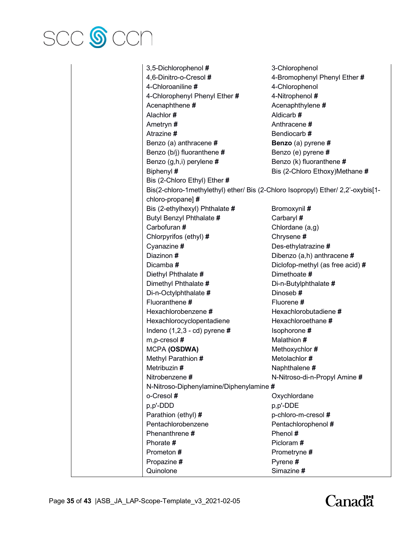

3,5-Dichlorophenol **#** 3-Chlorophenol 4,6-Dinitro-o-Cresol **#** 4-Bromophenyl Phenyl Ether **#** 4-Chloroaniline **#** 4-Chlorophenol 4-Chlorophenyl Phenyl Ether **#** 4-Nitrophenol **#** Acenaphthene **#** Acenaphthylene **#** Alachlor **#** Aldicarb **#** Ametryn **#** Anthracene **#** Atrazine **#** Bendiocarb **#** Benzo (a) anthracene **# Benzo** (a) pyrene **#** Benzo (b/j) fluoranthene **#** Benzo (e) pyrene **#** Benzo (g,h,i) perylene **#** Benzo (k) fluoranthene **#** Biphenyl **#** Bis (2-Chloro Ethoxy)Methane **#** Bis (2-Chloro Ethyl) Ether **#** Bis(2-chloro-1methylethyl) ether/ Bis (2-Chloro Isopropyl) Ether/ 2,2'-oxybis[1 chloro-propane] **#** Bis (2-ethylhexyl) Phthalate # Bromoxynil # Butyl Benzyl Phthalate **#** Carbaryl **#** Carbofuran **#** Chlordane (a,g) Chlorpyrifos (ethyl) **#** Chrysene **#** Cyanazine **#** Des-ethylatrazine **#** Diazinon **#** Dibenzo (a,h) anthracene **#** Dicamba **#** Diclofop-methyl (as free acid) **#** Diethyl Phthalate **#** Dimethoate **#** Dimethyl Phthalate **#** Di-n-Butylphthalate **#** Di-n-Octylphthalate **#** Dinoseb **#** Fluoranthene **#** Fluorene **#** Hexachlorobenzene **#** Hexachlorobutadiene **#** Hexachlorocyclopentadiene Hexachloroethane **#** Indeno (1,2,3 - cd) pyrene **#** Isophorone **#** m,p-cresol **#** Malathion **#** MCPA **(OSDWA)** Methoxychlor **#** Methyl Parathion **#** Metolachlor **#** Metribuzin #  $\qquad \qquad$  Naphthalene # Nitrobenzene **#** N-Nitroso-di-n-Propyl Amine **#** N-Nitroso-Diphenylamine/Diphenylamine **#** o-Cresol **#** Oxychlordane p,p'-DDD p,p'-DDE Parathion (ethyl) # p-chloro-m-cresol # Pentachlorobenzene Pentachlorophenol **#** Phenanthrene **#** Phenol **#** Phorate **#** Picloram **#** Prometon **#** Prometryne **#** Propazine # Pyrene # Quinolone Simazine **#**

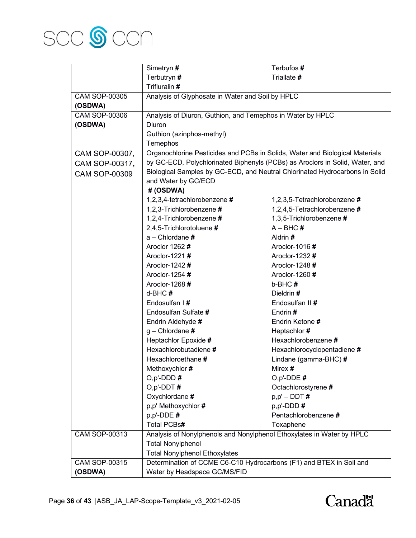

|                      | Simetryn #                                                            | Terbufos #                                                                   |  |
|----------------------|-----------------------------------------------------------------------|------------------------------------------------------------------------------|--|
|                      | Terbutryn #                                                           | Triallate #                                                                  |  |
|                      | Trifluralin #                                                         |                                                                              |  |
| <b>CAM SOP-00305</b> | Analysis of Glyphosate in Water and Soil by HPLC                      |                                                                              |  |
| (OSDWA)              |                                                                       |                                                                              |  |
| <b>CAM SOP-00306</b> | Analysis of Diuron, Guthion, and Temephos in Water by HPLC            |                                                                              |  |
| (OSDWA)              | Diuron                                                                |                                                                              |  |
|                      | Guthion (azinphos-methyl)                                             |                                                                              |  |
|                      | Temephos                                                              |                                                                              |  |
| CAM SOP-00307,       |                                                                       | Organochlorine Pesticides and PCBs in Solids, Water and Biological Materials |  |
| CAM SOP-00317,       |                                                                       | by GC-ECD, Polychlorinated Biphenyls (PCBs) as Aroclors in Solid, Water, and |  |
| <b>CAM SOP-00309</b> |                                                                       | Biological Samples by GC-ECD, and Neutral Chlorinated Hydrocarbons in Solid  |  |
|                      | and Water by GC/ECD                                                   |                                                                              |  |
|                      | #(OSDWA)                                                              |                                                                              |  |
|                      | 1,2,3,4-tetrachlorobenzene #                                          | 1,2,3,5-Tetrachlorobenzene#                                                  |  |
|                      | 1,2,3-Trichlorobenzene #                                              | 1,2,4,5-Tetrachlorobenzene #                                                 |  |
|                      | 1,2,4-Trichlorobenzene #                                              | 1,3,5-Trichlorobenzene #                                                     |  |
|                      | 2,4,5-Trichlorotoluene #                                              | $A - BHC#$                                                                   |  |
|                      | $a$ – Chlordane $#$                                                   | Aldrin #                                                                     |  |
|                      | Aroclor 1262#                                                         | Aroclor-1016#                                                                |  |
|                      | Aroclor-1221#                                                         | Aroclor-1232 #                                                               |  |
|                      | Aroclor-1242#                                                         | Aroclor-1248 #                                                               |  |
|                      | Aroclor-1254 #                                                        | Aroclor-1260#                                                                |  |
|                      | Aroclor-1268 #                                                        | b-BHC#                                                                       |  |
|                      | $d-BHC#$                                                              | Dieldrin#                                                                    |  |
|                      | Endosulfan I#                                                         | Endosulfan II #                                                              |  |
|                      | Endosulfan Sulfate #                                                  | Endrin #                                                                     |  |
|                      | Endrin Aldehyde #                                                     | Endrin Ketone #                                                              |  |
|                      | $g$ – Chlordane #                                                     | Heptachlor #                                                                 |  |
|                      | Heptachlor Epoxide #                                                  | Hexachlorobenzene #                                                          |  |
|                      | Hexachlorobutadiene #                                                 | Hexachlorocyclopentadiene #                                                  |  |
|                      | Hexachloroethane #                                                    | Lindane (gamma-BHC) #                                                        |  |
|                      | Methoxychlor #                                                        | Mirex <b>#</b>                                                               |  |
|                      | $O, p'$ -DDD#                                                         | $O, p'$ -DDE#                                                                |  |
|                      | $O, p'$ -DDT#                                                         | Octachlorostyrene #                                                          |  |
|                      | Oxychlordane #                                                        | $p, p' - DDT #$                                                              |  |
|                      | p,p' Methoxychlor #                                                   | $p, p'$ -DDD #                                                               |  |
|                      | $p, p'$ -DDE#                                                         | Pentachlorobenzene#                                                          |  |
|                      | Total PCBs#                                                           | Toxaphene                                                                    |  |
| CAM SOP-00313        | Analysis of Nonylphenols and Nonylphenol Ethoxylates in Water by HPLC |                                                                              |  |
|                      | <b>Total Nonylphenol</b>                                              |                                                                              |  |
|                      | <b>Total Nonylphenol Ethoxylates</b>                                  |                                                                              |  |
| CAM SOP-00315        | Determination of CCME C6-C10 Hydrocarbons (F1) and BTEX in Soil and   |                                                                              |  |
| (OSDWA)              | Water by Headspace GC/MS/FID                                          |                                                                              |  |

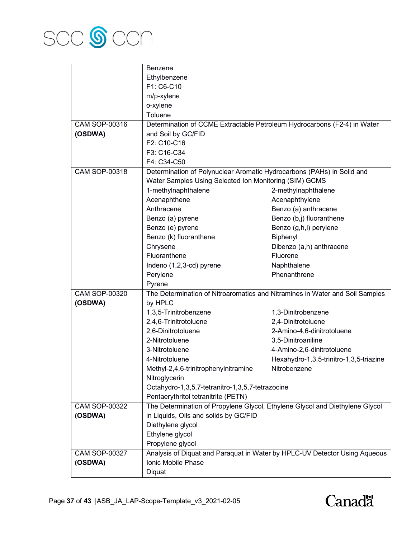

|                      | Benzene                                                                  |                                                                              |
|----------------------|--------------------------------------------------------------------------|------------------------------------------------------------------------------|
|                      | Ethylbenzene                                                             |                                                                              |
|                      | F1: C6-C10                                                               |                                                                              |
|                      | m/p-xylene                                                               |                                                                              |
|                      | o-xylene                                                                 |                                                                              |
|                      | Toluene                                                                  |                                                                              |
| CAM SOP-00316        | Determination of CCME Extractable Petroleum Hydrocarbons (F2-4) in Water |                                                                              |
| (OSDWA)              | and Soil by GC/FID                                                       |                                                                              |
|                      | F2: C10-C16                                                              |                                                                              |
|                      | F3: C16-C34                                                              |                                                                              |
|                      | F4: C34-C50                                                              |                                                                              |
| <b>CAM SOP-00318</b> | Determination of Polynuclear Aromatic Hydrocarbons (PAHs) in Solid and   |                                                                              |
|                      | Water Samples Using Selected Ion Monitoring (SIM) GCMS                   |                                                                              |
|                      | 1-methylnaphthalene                                                      | 2-methylnaphthalene                                                          |
|                      | Acenaphthene                                                             | Acenaphthylene                                                               |
|                      | Anthracene                                                               | Benzo (a) anthracene                                                         |
|                      | Benzo (a) pyrene                                                         | Benzo (b,j) fluoranthene                                                     |
|                      | Benzo (e) pyrene                                                         | Benzo (g,h,i) perylene                                                       |
|                      | Benzo (k) fluoranthene                                                   | Biphenyl                                                                     |
|                      | Chrysene                                                                 | Dibenzo (a,h) anthracene                                                     |
|                      | Fluoranthene                                                             | Fluorene                                                                     |
|                      | Indeno (1,2,3-cd) pyrene                                                 | Naphthalene                                                                  |
|                      | Perylene                                                                 | Phenanthrene                                                                 |
|                      | Pyrene                                                                   |                                                                              |
| <b>CAM SOP-00320</b> |                                                                          | The Determination of Nitroaromatics and Nitramines in Water and Soil Samples |
| (OSDWA)              | by HPLC                                                                  |                                                                              |
|                      | 1,3,5-Trinitrobenzene                                                    | 1,3-Dinitrobenzene                                                           |
|                      | 2,4,6-Trinitrotoluene                                                    | 2,4-Dinitrotoluene                                                           |
|                      | 2,6-Dinitrotoluene                                                       | 2-Amino-4,6-dinitrotoluene                                                   |
|                      | 2-Nitrotoluene                                                           | 3,5-Dinitroaniline                                                           |
|                      | 3-Nitrotoluene                                                           | 4-Amino-2,6-dinitrotoluene                                                   |
|                      | 4-Nitrotoluene                                                           | Hexahydro-1,3,5-trinitro-1,3,5-triazine                                      |
|                      | Methyl-2,4,6-trinitrophenylnitramine                                     | Nitrobenzene                                                                 |
|                      | Nitroglycerin                                                            |                                                                              |
|                      | Octahydro-1,3,5,7-tetranitro-1,3,5,7-tetrazocine                         |                                                                              |
|                      | Pentaerythritol tetranitrite (PETN)                                      |                                                                              |
| <b>CAM SOP-00322</b> |                                                                          | The Determination of Propylene Glycol, Ethylene Glycol and Diethylene Glycol |
| (OSDWA)              | in Liquids, Oils and solids by GC/FID                                    |                                                                              |
|                      | Diethylene glycol                                                        |                                                                              |
|                      | Ethylene glycol                                                          |                                                                              |
|                      | Propylene glycol                                                         |                                                                              |
| <b>CAM SOP-00327</b> |                                                                          | Analysis of Diquat and Paraquat in Water by HPLC-UV Detector Using Aqueous   |
| (OSDWA)              | Ionic Mobile Phase                                                       |                                                                              |
|                      | Diquat                                                                   |                                                                              |
|                      |                                                                          |                                                                              |

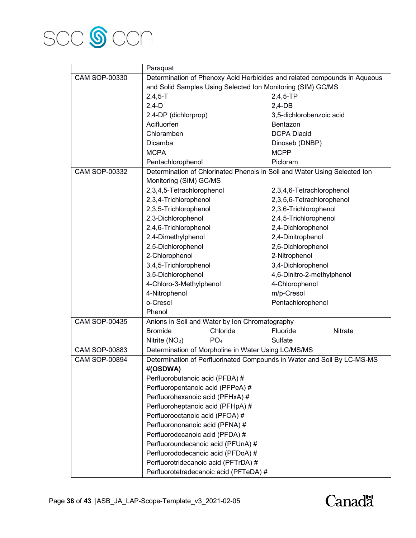

|                      | Paraquat                                                                  |                                                                         |  |
|----------------------|---------------------------------------------------------------------------|-------------------------------------------------------------------------|--|
| CAM SOP-00330        | Determination of Phenoxy Acid Herbicides and related compounds in Aqueous |                                                                         |  |
|                      | and Solid Samples Using Selected Ion Monitoring (SIM) GC/MS               |                                                                         |  |
|                      | $2,4,5 - T$                                                               | $2,4,5$ -TP                                                             |  |
|                      | $2,4-D$                                                                   | $2,4-DB$                                                                |  |
|                      | 2,4-DP (dichlorprop)                                                      | 3,5-dichlorobenzoic acid                                                |  |
|                      | Acifluorfen                                                               | Bentazon                                                                |  |
|                      | Chloramben                                                                | <b>DCPA Diacid</b>                                                      |  |
|                      | Dicamba                                                                   | Dinoseb (DNBP)                                                          |  |
|                      | <b>MCPA</b>                                                               | <b>MCPP</b>                                                             |  |
|                      | Pentachlorophenol                                                         | Picloram                                                                |  |
| <b>CAM SOP-00332</b> | Determination of Chlorinated Phenols in Soil and Water Using Selected Ion |                                                                         |  |
|                      | Monitoring (SIM) GC/MS<br>2,3,4,5-Tetrachlorophenol                       |                                                                         |  |
|                      | 2,3,4-Trichlorophenol                                                     | 2,3,4,6-Tetrachlorophenol<br>2,3,5,6-Tetrachlorophenol                  |  |
|                      | 2,3,5-Trichlorophenol                                                     | 2,3,6-Trichlorophenol                                                   |  |
|                      | 2,3-Dichlorophenol                                                        | 2,4,5-Trichlorophenol                                                   |  |
|                      | 2,4,6-Trichlorophenol                                                     | 2,4-Dichlorophenol                                                      |  |
|                      | 2,4-Dimethylphenol                                                        | 2,4-Dinitrophenol                                                       |  |
|                      | 2,5-Dichlorophenol                                                        | 2,6-Dichlorophenol                                                      |  |
|                      | 2-Chlorophenol                                                            | 2-Nitrophenol                                                           |  |
|                      | 3,4,5-Trichlorophenol                                                     | 3,4-Dichlorophenol                                                      |  |
|                      | 3,5-Dichlorophenol                                                        | 4,6-Dinitro-2-methylphenol                                              |  |
|                      | 4-Chloro-3-Methylphenol                                                   | 4-Chlorophenol                                                          |  |
|                      | 4-Nitrophenol                                                             | m/p-Cresol                                                              |  |
|                      | o-Cresol                                                                  | Pentachlorophenol                                                       |  |
|                      | Phenol                                                                    |                                                                         |  |
| <b>CAM SOP-00435</b> | Anions in Soil and Water by Ion Chromatography                            |                                                                         |  |
|                      | Chloride<br><b>Bromide</b>                                                | Fluoride<br>Nitrate                                                     |  |
|                      | PO <sub>4</sub><br>Nitrite $(NO2)$                                        | Sulfate                                                                 |  |
| <b>CAM SOP-00883</b> | Determination of Morpholine in Water Using LC/MS/MS                       |                                                                         |  |
| <b>CAM SOP-00894</b> |                                                                           | Determination of Perfluorinated Compounds in Water and Soil By LC-MS-MS |  |
|                      | #(OSDWA)                                                                  |                                                                         |  |
|                      | Perfluorobutanoic acid (PFBA) #                                           |                                                                         |  |
|                      | Perfluoropentanoic acid (PFPeA) #                                         |                                                                         |  |
|                      | Perfluorohexanoic acid (PFHxA) #                                          |                                                                         |  |
|                      | Perfluoroheptanoic acid (PFHpA) #                                         |                                                                         |  |
|                      | Perfluorooctanoic acid (PFOA) #                                           |                                                                         |  |
|                      | Perfluorononanoic acid (PFNA) #                                           |                                                                         |  |
|                      | Perfluorodecanoic acid (PFDA) #                                           |                                                                         |  |
|                      | Perfluoroundecanoic acid (PFUnA) #                                        |                                                                         |  |
|                      | Perfluorododecanoic acid (PFDoA) #                                        |                                                                         |  |
|                      | Perfluorotridecanoic acid (PFTrDA) #                                      |                                                                         |  |
|                      | Perfluorotetradecanoic acid (PFTeDA) #                                    |                                                                         |  |

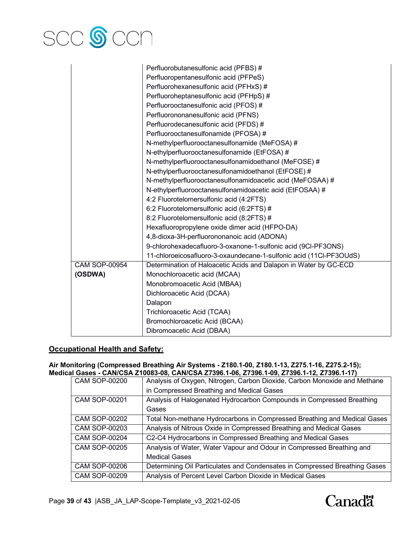

|                      | Perfluorobutanesulfonic acid (PFBS) #                              |
|----------------------|--------------------------------------------------------------------|
|                      | Perfluoropentanesulfonic acid (PFPeS)                              |
|                      | Perfluorohexanesulfonic acid (PFHxS) #                             |
|                      | Perfluoroheptanesulfonic acid (PFHpS) #                            |
|                      | Perfluorooctanesulfonic acid (PFOS) #                              |
|                      | Perfluorononanesulfonic acid (PFNS)                                |
|                      | Perfluorodecanesulfonic acid (PFDS) #                              |
|                      | Perfluorooctanesulfonamide (PFOSA) #                               |
|                      | N-methylperfluorooctanesulfonamide (MeFOSA) #                      |
|                      | N-ethylperfluorooctanesulfonamide (EtFOSA) #                       |
|                      | N-methylperfluorooctanesulfonamidoethanol (MeFOSE) #               |
|                      | N-ethylperfluorooctanesulfonamidoethanol (EtFOSE) #                |
|                      | N-methylperfluorooctanesulfonamidoacetic acid (MeFOSAA) #          |
|                      | N-ethylperfluorooctanesulfonamidoacetic acid (EtFOSAA) #           |
|                      | 4:2 Fluorotelomersulfonic acid (4:2FTS)                            |
|                      | 6:2 Fluorotelomersulfonic acid (6:2FTS) #                          |
|                      | 8:2 Fluorotelomersulfonic acid (8:2FTS) #                          |
|                      | Hexafluoropropylene oxide dimer acid (HFPO-DA)                     |
|                      | 4,8-dioxa-3H-perfluorononanoic acid (ADONA)                        |
|                      | 9-chlorohexadecafluoro-3-oxanone-1-sulfonic acid (9CI-PF3ONS)      |
|                      | 11-chloroeicosafluoro-3-oxaundecane-1-sulfonic acid (11Cl-PF3OUdS) |
| <b>CAM SOP-00954</b> | Determination of Haloacetic Acids and Dalapon in Water by GC-ECD   |
| (OSDWA)              | Monochloroacetic acid (MCAA)                                       |
|                      | Monobromoacetic Acid (MBAA)                                        |
|                      | Dichloroacetic Acid (DCAA)                                         |
|                      | Dalapon                                                            |
|                      | Trichloroacetic Acid (TCAA)                                        |
|                      | Bromochloroacetic Acid (BCAA)                                      |
|                      | Dibromoacetic Acid (DBAA)                                          |

# **Occupational Health and Safety:**

#### **Air Monitoring (Compressed Breathing Air Systems - Z180.1-00, Z180.1-13, Z275.1-16, Z275.2-15); Medical Gases - CAN/CSA Z10083-08, CAN/CSA Z7396.1-06, Z7396.1-09, Z7396.1-12, Z7396.1-17)**

| <b>CAM SOP-00200</b> | Analysis of Oxygen, Nitrogen, Carbon Dioxide, Carbon Monoxide and Methane  |
|----------------------|----------------------------------------------------------------------------|
|                      | in Compressed Breathing and Medical Gases                                  |
| <b>CAM SOP-00201</b> | Analysis of Halogenated Hydrocarbon Compounds in Compressed Breathing      |
|                      | Gases                                                                      |
| <b>CAM SOP-00202</b> | Total Non-methane Hydrocarbons in Compressed Breathing and Medical Gases   |
| <b>CAM SOP-00203</b> | Analysis of Nitrous Oxide in Compressed Breathing and Medical Gases        |
| <b>CAM SOP-00204</b> | C2-C4 Hydrocarbons in Compressed Breathing and Medical Gases               |
| <b>CAM SOP-00205</b> | Analysis of Water, Water Vapour and Odour in Compressed Breathing and      |
|                      | <b>Medical Gases</b>                                                       |
| <b>CAM SOP-00206</b> | Determining Oil Particulates and Condensates in Compressed Breathing Gases |
| <b>CAM SOP-00209</b> | Analysis of Percent Level Carbon Dioxide in Medical Gases                  |

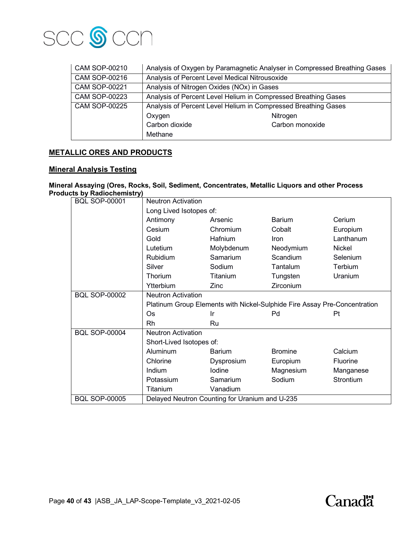

| CAM SOP-00210        | Analysis of Oxygen by Paramagnetic Analyser in Compressed Breathing Gases |                 |  |
|----------------------|---------------------------------------------------------------------------|-----------------|--|
| <b>CAM SOP-00216</b> | Analysis of Percent Level Medical Nitrousoxide                            |                 |  |
| <b>CAM SOP-00221</b> | Analysis of Nitrogen Oxides (NOx) in Gases                                |                 |  |
| <b>CAM SOP-00223</b> | Analysis of Percent Level Helium in Compressed Breathing Gases            |                 |  |
| <b>CAM SOP-00225</b> | Analysis of Percent Level Helium in Compressed Breathing Gases            |                 |  |
|                      | Oxygen                                                                    | Nitrogen        |  |
|                      | Carbon dioxide                                                            | Carbon monoxide |  |
|                      | Methane                                                                   |                 |  |

# **METALLIC ORES AND PRODUCTS**

## **Mineral Analysis Testing**

#### **Mineral Assaying (Ores, Rocks, Soil, Sediment, Concentrates, Metallic Liquors and other Process Products by Radiochemistry)**

| <b>BQL SOP-00001</b> | <b>Neutron Activation</b>                                                 |                                                |                |                 |
|----------------------|---------------------------------------------------------------------------|------------------------------------------------|----------------|-----------------|
|                      | Long Lived Isotopes of:                                                   |                                                |                |                 |
|                      | Antimony                                                                  | Arsenic                                        | <b>Barium</b>  | Cerium          |
|                      | Cesium                                                                    | Chromium                                       | Cobalt         | Europium        |
|                      | Gold                                                                      | Hafnium                                        | <b>Iron</b>    | Lanthanum       |
|                      | Lutetium                                                                  | Molybdenum                                     | Neodymium      | Nickel          |
|                      | Rubidium                                                                  | Samarium                                       | Scandium       | Selenium        |
|                      | Silver                                                                    | Sodium                                         | Tantalum       | Terbium         |
|                      | Thorium                                                                   | Titanium                                       | Tungsten       | Uranium         |
|                      | Ytterbium                                                                 | Zinc                                           | Zirconium      |                 |
| <b>BQL SOP-00002</b> | <b>Neutron Activation</b>                                                 |                                                |                |                 |
|                      | Platinum Group Elements with Nickel-Sulphide Fire Assay Pre-Concentration |                                                |                |                 |
|                      | <b>Os</b>                                                                 | Ir                                             | Pd             | Pt              |
|                      | Rh                                                                        | Ru                                             |                |                 |
| <b>BQL SOP-00004</b> | <b>Neutron Activation</b>                                                 |                                                |                |                 |
|                      | Short-Lived Isotopes of:                                                  |                                                |                |                 |
|                      | <b>Aluminum</b>                                                           | <b>Barium</b>                                  | <b>Bromine</b> | Calcium         |
|                      | Chlorine                                                                  | Dysprosium                                     | Europium       | <b>Fluorine</b> |
|                      | Indium                                                                    | lodine                                         | Magnesium      | Manganese       |
|                      | Potassium                                                                 | Samarium                                       | Sodium         | Strontium       |
|                      | Titanium                                                                  | Vanadium                                       |                |                 |
| <b>BQL SOP-00005</b> |                                                                           | Delayed Neutron Counting for Uranium and U-235 |                |                 |

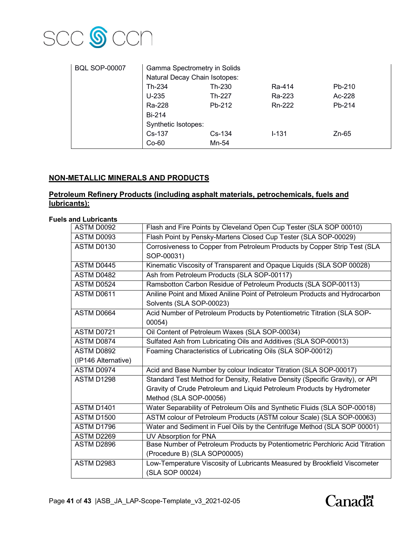

| <b>BQL SOP-00007</b> | Gamma Spectrometry in Solids  |          |           |         |
|----------------------|-------------------------------|----------|-----------|---------|
|                      | Natural Decay Chain Isotopes: |          |           |         |
|                      | Th-234                        | Th-230   | Ra-414    | Pb-210  |
|                      | $U-235$                       | Th-227   | Ra-223    | Ac-228  |
|                      | Ra-228                        | Pb-212   | Rn-222    | Pb-214  |
|                      | <b>Bi-214</b>                 |          |           |         |
|                      | Synthetic Isotopes:           |          |           |         |
|                      | Cs-137                        | $Cs-134$ | $1 - 131$ | $Zn-65$ |
|                      | $Co-60$                       | Mn-54    |           |         |

## **NON-METALLIC MINERALS AND PRODUCTS**

## **Petroleum Refinery Products (including asphalt materials, petrochemicals, fuels and lubricants):**

### **Fuels and Lubricants**

| ASTM D0092          | Flash and Fire Points by Cleveland Open Cup Tester (SLA SOP 00010)            |
|---------------------|-------------------------------------------------------------------------------|
| ASTM D0093          | Flash Point by Pensky-Martens Closed Cup Tester (SLA SOP-00029)               |
| ASTM D0130          | Corrosiveness to Copper from Petroleum Products by Copper Strip Test (SLA     |
|                     | SOP-00031)                                                                    |
| ASTM D0445          | Kinematic Viscosity of Transparent and Opaque Liquids (SLA SOP 00028)         |
| ASTM D0482          | Ash from Petroleum Products (SLA SOP-00117)                                   |
| ASTM D0524          | Ramsbotton Carbon Residue of Petroleum Products (SLA SOP-00113)               |
| ASTM D0611          | Aniline Point and Mixed Aniline Point of Petroleum Products and Hydrocarbon   |
|                     | Solvents (SLA SOP-00023)                                                      |
| ASTM D0664          | Acid Number of Petroleum Products by Potentiometric Titration (SLA SOP-       |
|                     | 00054)                                                                        |
| ASTM D0721          | Oil Content of Petroleum Waxes (SLA SOP-00034)                                |
| ASTM D0874          | Sulfated Ash from Lubricating Oils and Additives (SLA SOP-00013)              |
| ASTM D0892          | Foaming Characteristics of Lubricating Oils (SLA SOP-00012)                   |
| (IP146 Alternative) |                                                                               |
| ASTM D0974          | Acid and Base Number by colour Indicator Titration (SLA SOP-00017)            |
| ASTM D1298          | Standard Test Method for Density, Relative Density (Specific Gravity), or API |
|                     | Gravity of Crude Petroleum and Liquid Petroleum Products by Hydrometer        |
|                     | Method (SLA SOP-00056)                                                        |
| <b>ASTM D1401</b>   | Water Separability of Petroleum Oils and Synthetic Fluids (SLA SOP-00018)     |
| <b>ASTM D1500</b>   | ASTM colour of Petroleum Products (ASTM colour Scale) (SLA SOP-00063)         |
| ASTM D1796          | Water and Sediment in Fuel Oils by the Centrifuge Method (SLA SOP 00001)      |
| ASTM D2269          | UV Absorption for PNA                                                         |
| ASTM D2896          | Base Number of Petroleum Products by Potentiometric Perchloric Acid Titration |
|                     | (Procedure B) (SLA SOP00005)                                                  |
| ASTM D2983          | Low-Temperature Viscosity of Lubricants Measured by Brookfield Viscometer     |
|                     | (SLA SOP 00024)                                                               |

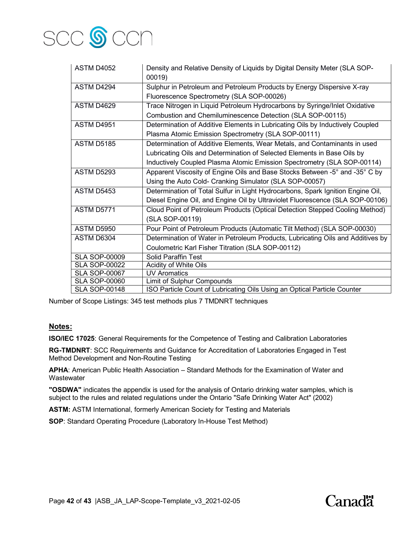

| <b>ASTM D4052</b>    | Density and Relative Density of Liquids by Digital Density Meter (SLA SOP-<br>00019) |
|----------------------|--------------------------------------------------------------------------------------|
| ASTM D4294           | Sulphur in Petroleum and Petroleum Products by Energy Dispersive X-ray               |
|                      | Fluorescence Spectrometry (SLA SOP-00026)                                            |
| ASTM D4629           | Trace Nitrogen in Liquid Petroleum Hydrocarbons by Syringe/Inlet Oxidative           |
|                      | Combustion and Chemiluminescence Detection (SLA SOP-00115)                           |
| <b>ASTM D4951</b>    | Determination of Additive Elements in Lubricating Oils by Inductively Coupled        |
|                      | Plasma Atomic Emission Spectrometry (SLA SOP-00111)                                  |
| <b>ASTM D5185</b>    | Determination of Additive Elements, Wear Metals, and Contaminants in used            |
|                      | Lubricating Oils and Determination of Selected Elements in Base Oils by              |
|                      | Inductively Coupled Plasma Atomic Emission Spectrometry (SLA SOP-00114)              |
| <b>ASTM D5293</b>    | Apparent Viscosity of Engine Oils and Base Stocks Between -5° and -35° C by          |
|                      | Using the Auto Cold- Cranking Simulator (SLA SOP-00057)                              |
| ASTM D5453           | Determination of Total Sulfur in Light Hydrocarbons, Spark Ignition Engine Oil,      |
|                      | Diesel Engine Oil, and Engine Oil by Ultraviolet Fluorescence (SLA SOP-00106)        |
| ASTM D5771           | Cloud Point of Petroleum Products (Optical Detection Stepped Cooling Method)         |
|                      | (SLA SOP-00119)                                                                      |
| ASTM D5950           | Pour Point of Petroleum Products (Automatic Tilt Method) (SLA SOP-00030)             |
| ASTM D6304           | Determination of Water in Petroleum Products, Lubricating Oils and Additives by      |
|                      | Coulometric Karl Fisher Titration (SLA SOP-00112)                                    |
| <b>SLA SOP-00009</b> | Solid Paraffin Test                                                                  |
| <b>SLA SOP-00022</b> | Acidity of White Oils                                                                |
| <b>SLA SOP-00067</b> | <b>UV Aromatics</b>                                                                  |
| <b>SLA SOP-00060</b> | Limit of Sulphur Compounds                                                           |
| <b>SLA SOP-00148</b> | ISO Particle Count of Lubricating Oils Using an Optical Particle Counter             |

Number of Scope Listings: 345 test methods plus 7 TMDNRT techniques

## **Notes:**

**ISO/IEC 17025**: General Requirements for the Competence of Testing and Calibration Laboratories

**RG-TMDNRT**: SCC Requirements and Guidance for Accreditation of Laboratories Engaged in Test Method Development and Non-Routine Testing

**APHA**: American Public Health Association – Standard Methods for the Examination of Water and **Wastewater** 

**"OSDWA"** indicates the appendix is used for the analysis of Ontario drinking water samples, which is subject to the rules and related regulations under the Ontario "Safe Drinking Water Act" (2002)

**ASTM:** ASTM International, formerly American Society for Testing and Materials

**SOP**: Standard Operating Procedure (Laboratory In-House Test Method)